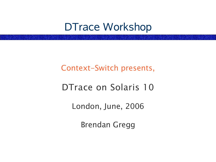## DTrace Workshop

#### Context-Switch presents,

#### DTrace on Solaris 10

London, June, 2006

Brendan Gregg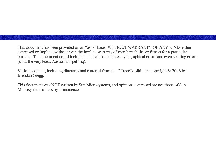This document has been provided on an "as is" basis, WITHOUT WARRANTY OF ANY KIND, either expressed or implied, without even the implied warranty of merchantability or fitness for a particular purpose. This document could include technical inaccuracies, typographical errors and even spelling errors (or at the very least, Australian spelling).

Various content, including diagrams and material from the DTraceToolkit, are copyright © 2006 by Brendan Gregg.

This document was NOT written by Sun Microsystems, and opinions expressed are not those of Sun Microsystems unless by coincidence.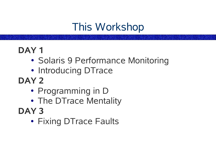# This Workshop

### **DAY 1**

- Solaris 9 Performance Monitoring
- Introducing DTrace
- **DAY 2**
	- Programming in D
	- The DTrace Mentality
- **DAY 3**
	- Fixing DTrace Faults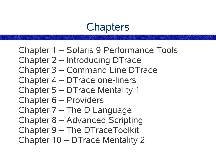## **Chapters**

- Chapter 1 Solaris 9 Performance Tools
- Chapter 2 Introducing DTrace
- Chapter 3 Command Line DTrace
- Chapter 4 DTrace one-liners
- Chapter 5 DTrace Mentality 1
- Chapter 6 Providers
- Chapter 7 The D Language
- Chapter 8 Advanced Scripting
- Chapter 9 The DTraceToolkit
- Chapter 10 DTrace Mentality 2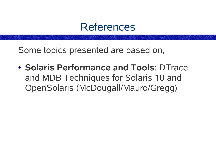

Some topics presented are based on,

● **Solaris Performance and Tools**: DTrace and MDB Techniques for Solaris 10 and OpenSolaris (McDougall/Mauro/Gregg)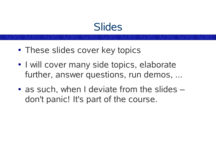## **Slides**

- These slides cover key topics
- I will cover many side topics, elaborate further, answer questions, run demos, ...
- $\bullet$  as such, when I deviate from the slides  $$ don't panic! It's part of the course.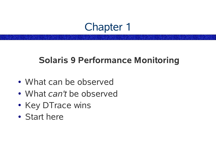## Chapter 1

#### **Solaris 9 Performance Monitoring**

- What can be observed
- What *can't* be observed
- Key DTrace wins
- Start here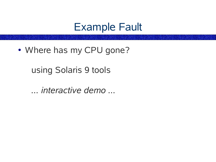## Example Fault

• Where has my CPU gone?

using Solaris 9 tools

*... interactive demo ...*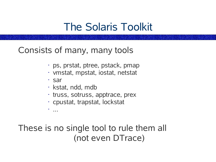## The Solaris Toolkit

Consists of many, many tools

- ps, prstat, ptree, pstack, pmap
- vmstat, mpstat, iostat, netstat
- sar
- kstat, ndd, mdb
- truss, sotruss, apptrace, prex
- cpustat, trapstat, lockstat

• ...

These is no single tool to rule them all (not even DTrace)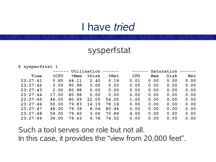## I have *tried*

#### sysperfstat

#### **\$ sysperfstat 1**

|          | ------  |                 | Utilisation      | ------          | ------     |            | Saturation | $   -$     |
|----------|---------|-----------------|------------------|-----------------|------------|------------|------------|------------|
| Time     | $8$ CPU | <b>&amp;Mem</b> | <b>&amp;Disk</b> | <b>&amp;Net</b> | <b>CPU</b> | <b>Mem</b> | Disk       | <b>Net</b> |
| 23:27:41 | 0.85    | 44.11           | 2.40             | 0.19            | 0.01       | 0.00       | 0.00       | 0.00       |
| 23:27:42 | 3.00    | 80.98           | 0.00             | 0.00            | 0.00       | 0.00       | 0.00       | 0.00       |
| 23:27:43 | 2.00    | 80.98           | 0.00             | 0.00            | 0.00       | 0.00       | 0.00       | 0.00       |
| 23:27:44 | 17.00   | 80.98           | 0.00             | 0.00            | 0.00       | 0.00       | 0.00       | 0.00       |
| 23:27:45 | 46.00   | 80.49           | 22.05            | 54.20           | 1.00       | 0.00       | 0.00       | 0.00       |
| 23:27:46 | 50.00   | 79.83           | 14.19            | 78.18           | 0.00       | 0.00       | 0.00       | 0.00       |
| 23:27:47 | 48.00   | 79.39           | 8.04             | 80.94           | 0.00       | 0.00       | 0.00       | 0.00       |
| 23:27:48 | 54.00   | 79.62           | 3.06             | 70.89           | 4.00       | 0.00       | 0.00       | 0.00       |
| 23:27:49 | 39.00   | 79.43           | 6.78             | 74.52           | 0.00       | 0.00       | 0.00       | 0.00       |

Such a tool serves one role but not all. In this case, it provides the "view from 20,000 feet".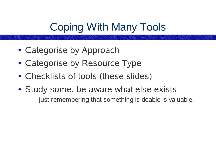# Coping With Many Tools

- Categorise by Approach
- Categorise by Resource Type
- Checklists of tools (these slides)
- Study some, be aware what else exists just remembering that something is doable is valuable!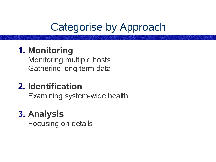# Categorise by Approach

## **1. Monitoring**

Monitoring multiple hosts Gathering long term data

## **2. Identification**

Examining system-wide health

## **3. Analysis**

Focusing on details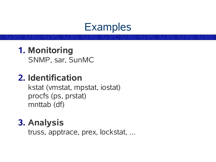

#### **1. Monitoring** SNMP, sar, SunMC

#### **2. Identification**

kstat (vmstat, mpstat, iostat) procfs (ps, prstat) mnttab (df)

## **3. Analysis**

truss, apptrace, prex, lockstat, ...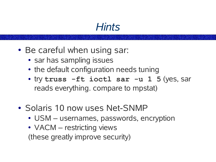## *Hints*

- Be careful when using sar:
	- sar has sampling issues
	- the default configuration needs tuning
	- try **truss -ft ioctl sar -u 1 5** (yes, sar reads everything. compare to mpstat)
- Solaris 10 now uses Net-SNMP
	- USM usernames, passwords, encryption
	- VACM restricting views (these greatly improve security)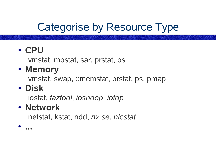# Categorise by Resource Type

● **CPU**

vmstat, mpstat, sar, prstat, ps

● **Memory**

vmstat, swap, ::memstat, prstat, ps, pmap

● **Disk**

iostat, *taztool*, *iosnoop*, *iotop*

● **Network**

netstat, kstat, ndd, *nx.se*, *nicstat*

● **...**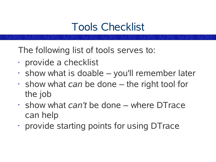# Tools Checklist

The following list of tools serves to:

- provide a checklist
- $\cdot$  show what is doable  $-$  you'll remember later
- show what *can* be done the right tool for the job
- show what *can't* be done where DTrace can help
- provide starting points for using DTrace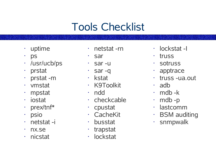# Tools Checklist

- uptime
- ps
- /usr/ucb/ps
- prstat
- prstat -m
- vmstat
- mpstat
- iostat
- prex/tnf\*
- psio
- netstat -i
- nx.se
- nicstat
- netstat -rn
- sar
- sar -u
- sar -q
- kstat
- K9Toolkit
- ndd
- checkcable
- cpustat
- CacheKit
- busstat
- trapstat
- lockstat
- lockstat -I
- truss
- sotruss
- apptrace
- truss -ua.out
- adb
- $\cdot$  mdb -k
- $\cdot$  mdb -p
- lastcomm
- BSM auditing
- snmpwalk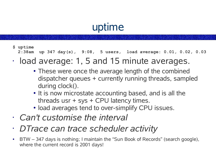# uptime

**\$ uptime**

**2:38am up 347 day(s), 9:08, 5 users, load average: 0.01, 0.02, 0.03**

- load average: 1, 5 and 15 minute averages.
	- These were once the average length of the combined dispatcher queues + currently running threads, sampled during clock().
	- It is now microstate accounting based, and is all the threads usr + sys + CPU latency times.
	- load averages tend to over-simplify CPU issues.
- *Can't customise the interval*
- *DTrace can trace scheduler activity*
- BTW 347 days is nothing; I maintain the "Sun Book of Records" (search google), where the current record is 2001 days!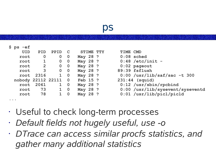#### ps

|  | ,<br>-- | -2<br>┍<br>1<br>. . |
|--|---------|---------------------|
|--|---------|---------------------|

| UID                               | <b>PID</b>   | <b>PPID</b>  | $\mathbf C$             | STIME TTY | TIME CMD                         |
|-----------------------------------|--------------|--------------|-------------------------|-----------|----------------------------------|
| root                              | $\mathbf 0$  | $\mathbf 0$  | $\overline{\mathbf{0}}$ | May 28 ?  | $0:08$ sched                     |
| root                              | 1            |              | $0\quad 0$              | May 28 ?  | $0:48$ /etc/init -               |
| root                              | $\mathbf{2}$ | $\mathbf 0$  | $\overline{\mathbf{0}}$ | May 28 ?  | $0:02$ pageout                   |
| root                              | $\mathbf{3}$ |              | $0\quad 0$              | May 28 ?  | 89:39 fsflush                    |
|                                   | root 2316    |              | $1\quad 0$              | May 28 ?  | $0:00$ /usr/lib/saf/sac -t 300   |
| nobody 22112 22111                |              |              | $\overline{\mathbf{0}}$ | Feb 15 ?  | 231:44 (squid)                   |
|                                   | root 2061    |              | $1 \quad 0$             | May 28 ?  | $0:12$ /usr/sbin/rpcbind         |
| root                              | 73           | $\mathbf{1}$ | $\overline{\mathbf{0}}$ | May 28 ?  | 0:00 /usr/lib/sysevent/syseventd |
| root                              | 78           | $1 \quad$    | $\overline{0}$          | May 28 ?  | $0:01$ /usr/lib/picl/picld       |
| $\bullet\quad\bullet\quad\bullet$ |              |              |                         |           |                                  |
|                                   |              |              |                         |           |                                  |

- Useful to check long-term processes
- *Default fields not hugely useful, use -o*
- *DTrace can access similar procfs statistics, and gather many additional statistics*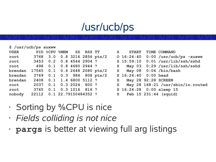# /usr/ucb/ps

| $$ /usr/ucb/ps$ auxww             |                               |                         |                  |       |                                                                                                                                                                                                                                |                          |                                                |
|-----------------------------------|-------------------------------|-------------------------|------------------|-------|--------------------------------------------------------------------------------------------------------------------------------------------------------------------------------------------------------------------------------|--------------------------|------------------------------------------------|
| <b>USER</b>                       | PID %CPU %MEM SZ RSS TT       |                         |                  |       | $\mathbf S$                                                                                                                                                                                                                    | <b>START</b>             | TIME COMMAND                                   |
| root 3768 3.0 0.8 3216 2856 pts/2 |                               |                         |                  |       |                                                                                                                                                                                                                                |                          | 0 $16:24:40$ 0:00 $\sqrt{usr/ucb}$ ps $-auxww$ |
| root 3453 0.2 0.8 4544 2904 ?     |                               |                         |                  |       |                                                                                                                                                                                                                                |                          | S 15:59:10  0:01 /usr/lib/ssh/sshd             |
| root 498 0.1 0.8 4680 2944 ?      |                               |                         |                  |       |                                                                                                                                                                                                                                |                          | S May 03 0:29 /usr/lib/ssh/sshd                |
| brendan                           | 17545 0.1 0.6 2648 2080 pts/2 |                         |                  |       | S and the set of the set of the set of the set of the set of the set of the set of the set of the set of the set of the set of the set of the set of the set of the set of the set of the set of the set of the set of the set |                          | May $08$ $0:04$ /bin/bash                      |
| brendan                           | 3769 0.1 0.3 984 808 pts/2    |                         |                  |       |                                                                                                                                                                                                                                | S 16:24:40 0:00 head     |                                                |
| brendan                           | 2408 0.1 1.4 6800 5112 ?      |                         |                  |       | $\mathbf S$                                                                                                                                                                                                                    | May 28 92:28 SCREEN      |                                                |
| root                              | 2037                          |                         | $0.1$ $0.3$ 2024 | 800 ? |                                                                                                                                                                                                                                |                          | S May 28 168:21 /usr/sbin/in.routed            |
| root                              |                               | 3765 0.1 0.3 1016 816 ? |                  |       |                                                                                                                                                                                                                                | S 16:24:28 0:00 sleep 15 |                                                |
| nobody                            | 22112 0.1 22.79150484352 ?    |                         |                  |       |                                                                                                                                                                                                                                | S Feb 15 231:44 (squid)  |                                                |

|                                                                                                                                                                                                                                | S START                  | TIME COMMAND                      |
|--------------------------------------------------------------------------------------------------------------------------------------------------------------------------------------------------------------------------------|--------------------------|-----------------------------------|
|                                                                                                                                                                                                                                | $0\;16:24:40$            | $0:00$ /usr/ucb/ps -auxww         |
|                                                                                                                                                                                                                                | S <sub>15:59:10</sub>    | $0:01$ /usr/lib/ssh/sshd          |
|                                                                                                                                                                                                                                |                          | S May 03 0:29 /usr/lib/ssh/sshd   |
|                                                                                                                                                                                                                                |                          | S May 08 $0:04$ /bin/bash         |
|                                                                                                                                                                                                                                | S 16:24:40 0:00 head     |                                   |
|                                                                                                                                                                                                                                | S May 28 92:28 SCREEN    |                                   |
| S and the set of the set of the set of the set of the set of the set of the set of the set of the set of the set of the set of the set of the set of the set of the set of the set of the set of the set of the set of the set |                          | May 28 168:21 /usr/sbin/in.routed |
|                                                                                                                                                                                                                                | S 16:24:28 0:00 sleep 15 |                                   |
|                                                                                                                                                                                                                                | S Feb 15 231:44 (squid)  |                                   |

- Sorting by %CPU is nice
- *Fields colliding is not nice*
- **pargs** is better at viewing full arg listings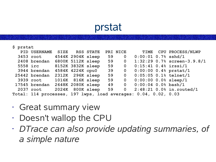## prstat

#### **\$ prstat**

| PID USERNAME                     |  | <b>SIZE RSS STATE</b> |    | PRI NICE                |                                                                 | TIME CPU PROCESS/NLWP                                      |
|----------------------------------|--|-----------------------|----|-------------------------|-----------------------------------------------------------------|------------------------------------------------------------|
| 3453 root 4544K 2904K sleep      |  |                       |    | 59 0                    | $0:00:01$ 0.7% sshd/1                                           |                                                            |
| 2408 brendan 6800K 5112K sleep   |  |                       |    | 59 0                    |                                                                 | $1:32:29$ 0.7% screen-3.9.8/1                              |
| <b>5558 irc</b>                  |  | 8152K 3832K sleep     |    | 59 0                    | $0:15:41$ 0.4% irssi/1                                          |                                                            |
| 3944 brendan 4584K 4224K cpu0 39 |  |                       |    | $\overline{0}$          |                                                                 | $0:00:00$ 0.4% prstat/1                                    |
| 25442 brendan 2312K 296K sleep   |  |                       | 59 | $\overline{\mathbf{0}}$ |                                                                 | $0:05:05$ 0.1% telnet/1                                    |
| <b>3939 root</b>                 |  | 1016K 816K sleep      |    | 59 0                    | $0:00:00$ 0.0% sleep/1                                          |                                                            |
| 17545 brendan 2648K 2080K sleep  |  |                       |    | 49 0                    | $0:00:04$ 0.0% bash/1                                           |                                                            |
|                                  |  |                       |    |                         |                                                                 | 2037 root  2024K 800K sleep 59  0 2:48:21 0.0% in.routed/1 |
|                                  |  |                       |    |                         | Total: 114 processes, 197 lwps, load averages: 0.04, 0.02, 0.03 |                                                            |

- Great summary view
- Doesn't wallop the CPU
- *DTrace can also provide updating summaries, of a simple nature*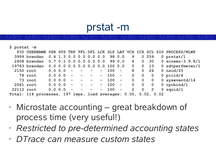### prstat -m

**\$ prstat -m**

|            |                                                                 |             |            |                                                                                          |                         |            |           |                                     |                         |                         | PID USERNAME USR SYS TRP TFL DFL LCK SLP LAT VCX ICX SCL SIG PROCESS/NLWP |
|------------|-----------------------------------------------------------------|-------------|------------|------------------------------------------------------------------------------------------|-------------------------|------------|-----------|-------------------------------------|-------------------------|-------------------------|---------------------------------------------------------------------------|
|            | 3999 brendan 0.4 1.3 0.0 0.0 0.0 0.0 98 0.0                     |             |            |                                                                                          |                         |            |           | 9                                   |                         | 0 259                   | 0 prstat/1                                                                |
|            | 2408 brendan 0.7 0.1 0.0 0.0 0.0 0.0 99 0.0 6                   |             |            |                                                                                          |                         |            |           |                                     | $\overline{0}$          |                         | 30 0 screen-3.9.8/1                                                       |
|            | 19763 brendan                                                   |             |            |                                                                                          |                         |            |           | $0.0$ 0.0 0.0 0.0 0.0 0.0 100 0.0 5 |                         | 0 <sub>13</sub>         | 0 sdtperfmeter/1                                                          |
|            | 2150 root                                                       | 0.0 0.0     | $\sim$ $-$ |                                                                                          |                         | $\sim$ $-$ | $100 -$   | 8                                   | $\mathbf{O}$            | 26                      | $0$ nscd/25                                                               |
|            | 78 root                                                         | $0.0 0.0 -$ |            | $\mathcal{L}(\mathcal{L})$ and $\mathcal{L}(\mathcal{L})$ and $\mathcal{L}(\mathcal{L})$ |                         |            | $- 100 -$ | $\overline{0}$                      | $\mathbf 0$             | $\mathbf 0$             | 0 $picld/4$                                                               |
|            | 73 root                                                         | 0.0 0.0     |            |                                                                                          | $\sim$ $     -$         |            | $- 100 -$ | $\overline{0}$                      | $\mathbf 0$             | $\mathbf 0$             | 0 syseventd $/14$                                                         |
|            | 2061 root                                                       | 0.0 0.0     | $\sim$ $-$ | $\sim$ $-$                                                                               | $\sim$ 100 $-$          |            | $- 100 -$ | $\overline{0}$                      | $\overline{\mathbf{0}}$ | $\overline{\mathbf{0}}$ | 0 $r$ pcbind/1                                                            |
| 22112 root |                                                                 | 0.0 0.0     | $\sim$ $-$ | $\equiv$                                                                                 | $\sim 100$ km s $^{-1}$ | $\sim$ $-$ | $100 -$   | $\overline{2}$                      | $\overline{\mathbf{0}}$ | $\overline{2}$          | $0$ squid/1                                                               |
|            | Total: 114 processes, 197 lwps, load averages: 0.00, 0.02, 0.02 |             |            |                                                                                          |                         |            |           |                                     |                         |                         |                                                                           |

- Microstate accounting great breakdown of process time (very useful!)
- *Restricted to pre-determined accounting states*
- *DTrace can measure custom states*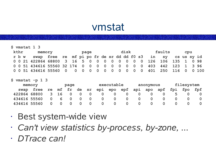## vmstat

|  |      | $$$ vmstat 1 3                                                     |  |  |      |  |  |      |  |        |  |     |  |
|--|------|--------------------------------------------------------------------|--|--|------|--|--|------|--|--------|--|-----|--|
|  | kthr | memory                                                             |  |  | page |  |  | disk |  | faults |  | cpu |  |
|  |      | r b w swap free re mf pi po fr de sr dd dd f0 s3 in sy cs us sy id |  |  |      |  |  |      |  |        |  |     |  |
|  |      | 0 0 21 422864 68800 3 16 5 0 0 0 0 0 0 0 0 0 126 106 135 1 0 98    |  |  |      |  |  |      |  |        |  |     |  |
|  |      | 0 0 51 434616 55560 32 174 0 0 0 0 0 0 0 0 0 0 403 442 123 1 3 96  |  |  |      |  |  |      |  |        |  |     |  |
|  |      | 0 0 51 434616 55560 0 0 0 0 0 0 0 0 0 0 0 0 401 250 116 0 0 100    |  |  |      |  |  |      |  |        |  |     |  |

**\$ vmstat -p 1 3**

|              | memory |    |       | page     |    |    | executable |     |     |     | anonymous |     | filesystem |     |     |  |
|--------------|--------|----|-------|----------|----|----|------------|-----|-----|-----|-----------|-----|------------|-----|-----|--|
| swap         | free   | re | mf fr |          | de | sr | epi        | epo | epf | api | apo       | apf | fpi        | fpo | fpf |  |
| 422864 68800 |        |    | 3 16  |          |    |    |            |     |     |     |           |     |            |     |     |  |
| 434616 55560 |        |    |       | $\bf{0}$ |    |    |            |     |     |     |           |     |            |     |     |  |
| 434616 55560 |        |    |       |          |    |    |            |     |     |     |           |     |            |     |     |  |

- Best system-wide view
- *Can't view statistics by-process, by-zone, ...*
- *DTrace can!*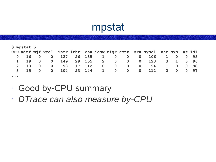## mpstat

|                                                                                             | $$$ mpstat $5$     |                |                |     |            |        |             |                         |                |                                                                         |              |                         |      |
|---------------------------------------------------------------------------------------------|--------------------|----------------|----------------|-----|------------|--------|-------------|-------------------------|----------------|-------------------------------------------------------------------------|--------------|-------------------------|------|
|                                                                                             |                    |                |                |     |            |        |             |                         |                | CPU minf mjf xcal intr ithr csw icsw migr smtx srw syscl usr sys wt idl |              |                         |      |
|                                                                                             | $0\quad 16\quad 0$ |                | $\mathbf 0$    | 127 | 26 135 1 0 |        |             |                         | $0\qquad 0$    |                                                                         | 106 1 0 0 98 |                         |      |
| $\mathbf{1}$                                                                                | 19                 | $\overline{0}$ | $\mathbf 0$    | 149 | 29 155     |        | $2 \t 0$    | $\overline{\mathbf{0}}$ |                | $0\qquad 123$                                                           |              | $3 \quad 1$             | 0 96 |
|                                                                                             | $2 \t 13$          | $\overline{0}$ | $\bf{0}$       | 98  |            | 17 112 | $0\qquad 0$ | $\overline{0}$          | $\overline{0}$ | 94                                                                      | $\mathbf{1}$ | $\overline{\mathbf{O}}$ | 0 98 |
| $\mathbf{3}$                                                                                | 15                 | $\Omega$       | $\overline{0}$ | 104 | 23 144     |        |             |                         |                | 1 0 0 0 112                                                             |              | 2 0 0 97                |      |
| $\begin{array}{cccccccccccccc} \bullet & \bullet & \bullet & \bullet & \bullet \end{array}$ |                    |                |                |     |            |        |             |                         |                |                                                                         |              |                         |      |

- Good by-CPU summary
- *DTrace can also measure by-CPU*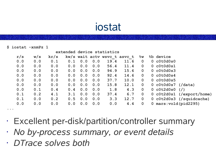## iostat

**\$ iostat -xnmPz 1**

|   | extended device statistics |     |      |     |     |     |                              |      |              |              |                             |  |  |  |  |
|---|----------------------------|-----|------|-----|-----|-----|------------------------------|------|--------------|--------------|-----------------------------|--|--|--|--|
|   | r/s                        | w/s | kr/s |     |     |     | kw/s wait actv wsvc t asvc t |      | े W          |              | %b device                   |  |  |  |  |
|   | 0.0                        | 0.0 | 0.1  | 0.1 | 0.0 | 0.0 | 19.4                         | 11.6 | $\mathbf{0}$ |              | $0$ $c0t0d0s0$              |  |  |  |  |
|   | 0.0                        | 0.0 | 0.0  | 0.0 | 0.0 | 0.0 | 56.4                         | 11.4 | $\mathbf{0}$ |              | 0 c0t0d0s1                  |  |  |  |  |
|   | 0.0                        | 0.0 | 0.0  | 0.0 | 0.0 | 0.0 | 94.9                         | 15.6 | $\mathbf{0}$ |              | $0$ $c0t0d0s3$              |  |  |  |  |
|   | 0.0                        | 0.0 | 0.0  | 0.0 | 0.0 | 0.0 | 92.4                         | 14.6 | $\mathbf{0}$ |              | $0$ $c0t0d0s4$              |  |  |  |  |
|   | 0.0                        | 0.0 | 0.0  | 0.0 | 0.0 | 0.0 | 37.7                         | 10.0 | $\mathbf 0$  |              | 0 c0t0d0s5                  |  |  |  |  |
|   | 0.0                        | 0.0 | 0.0  | 0.0 | 0.0 | 0.0 | 15.8                         | 12.1 | $\mathbf{0}$ |              | $0$ c0t0d0s7 (/data)        |  |  |  |  |
|   | 0.0                        | 0.1 | 0.4  | 0.4 | 0.0 | 0.0 | 1.8                          | 4.3  | $\mathbf 0$  |              | $0$ c0t2d0s0 $\binom{7}{2}$ |  |  |  |  |
|   | 0.1                        | 0.2 | 4.1  | 3.1 | 0.0 | 0.0 | 37.4                         | 6.7  | $\mathbf 0$  |              | $0$ c0t2d0s1 (/export/home) |  |  |  |  |
|   | 0.1                        | 0.0 | 0.2  | 0.5 | 0.0 | 0.0 | 3.3                          | 12.7 | $\mathbf 0$  |              | 0 c0t2d0s3 (/squidcache)    |  |  |  |  |
|   | 0.0                        | 0.0 | 0.0  | 0.0 | 0.0 | 0.0 | 0.0                          | 4.4  | $\mathbf 0$  | $\mathbf{0}$ | $mars: vold (pid2295)$      |  |  |  |  |
| . |                            |     |      |     |     |     |                              |      |              |              |                             |  |  |  |  |

- Excellent per-disk/partition/controller summary
- *No by-process summary, or event details*
- *DTrace solves both*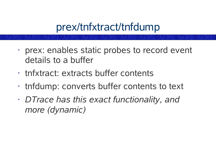## prex/tnfxtract/tnfdump

- prex: enables static probes to record event details to a buffer
- tnfxtract: extracts buffer contents
- tnfdump: converts buffer contents to text
- *DTrace has this exact functionality, and more (dynamic)*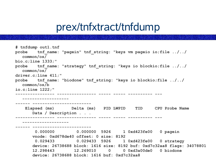## prex/tnfxtract/tnfdump

```
# tnfdump out1.tnf
probe tnf_name: "pagein" tnf_string: "keys vm pageio io;file ../../
  common/os/
bio.c;line 1333;"
probe tnf_name: "strategy" tnf_string: "keys io blockio;file ../../
  common/os/
driver.c;line 411;"
probe tnf_name: "biodone" tnf_string: "keys io blockio;file ../../
  common/os/b
io.c;line 1222;"
---------------- ---------------- ----- ----- ---------- --- 
  -------------------
     ------ ------------------------
    Elapsed (ms) Delta (ms) PID LWPID TID CPU Probe Name
       Data / Description . . .
---------------- ---------------- ----- ----- ---------- --- 
  -------------------
------ ------------------------
        0.000000 0.000000 5926 1 0xd423fe00 0 pagein
       vnode: 0xd678de40 offset: 0 size: 8192
        0.029433 0.029433 5926 1 0xd423fe00 0 strategy
       device: 26738688 block: 1616 size: 8192 buf: 0xd7c32aa8 flags: 34078801
       12.298443 12.269010 0 0 0xd3a00de0 0 biodone
       device: 26738688 block: 1616 buf: 0xd7c32aa8
```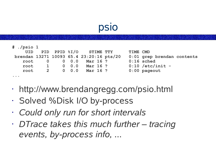## psio

| $#$ ./psio 1                                                                                |                |                                   |                                          |          |                            |  |
|---------------------------------------------------------------------------------------------|----------------|-----------------------------------|------------------------------------------|----------|----------------------------|--|
| UID                                                                                         |                |                                   | PID PPID %I/O STIME TTY                  | TIME CMD |                            |  |
|                                                                                             |                |                                   | brendan 13271 10093 65.4 23:20:16 pts/20 |          | 0:01 grep brendan contents |  |
|                                                                                             |                |                                   | root 0 0 0.0 Mar 16 ?                    |          | $0:16$ sched               |  |
| root                                                                                        | $\overline{1}$ |                                   | $0 \t 0.0$ Mar 16 ?                      |          | $0:10$ /etc/init -         |  |
| root                                                                                        |                | $\overline{2}$ and $\overline{2}$ | $0 \t 0.0$ Mar 16 ?                      |          | $0:00$ pageout             |  |
| $\begin{array}{cccccccccccccc} \bullet & \bullet & \bullet & \bullet & \bullet \end{array}$ |                |                                   |                                          |          |                            |  |

- http://www.brendangregg.com/psio.html
- Solved %Disk I/O by-process
- *Could only run for short intervals*
- *DTrace takes this much further – tracing events, by-process info, ...*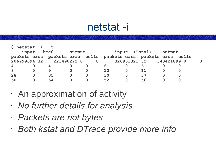## netstat -i

| $$$ netstat $-i$ 1 5    |                          |            |        |  |    |               |    |                                                                 |  |   |
|-------------------------|--------------------------|------------|--------|--|----|---------------|----|-----------------------------------------------------------------|--|---|
|                         | input                    | $h$ me $0$ | output |  |    | input (Total) |    | output                                                          |  |   |
|                         |                          |            |        |  |    |               |    | packets errs packets errs colls packets errs packets errs colls |  |   |
|                         | 206999694 32 223490272 0 |            |        |  |    |               |    | 326931321 32 343421899 0                                        |  | O |
| $\overline{\mathbf{4}}$ |                          |            |        |  |    |               |    |                                                                 |  |   |
| 8                       |                          | 9          |        |  | 10 |               | 11 |                                                                 |  |   |
| 28                      | $\bf{0}$                 | 35         |        |  | 30 |               | 37 |                                                                 |  |   |
| 50                      |                          | 54         |        |  | 52 |               | 56 |                                                                 |  |   |

- An approximation of activity
- *No further details for analysis*
- *Packets are not bytes*
- *Both kstat and DTrace provide more info*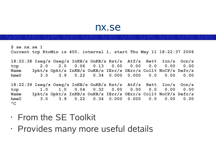#### nx.se

**\$ se nx.se 1 Current tcp RtoMin is 400, interval 1, start Thu May 11 18:22:37 2006 18:22:38 Iseg/s Oseg/s InKB/s OuKB/s Rst/s Atf/s Ret% Icn/s Ocn/s tcp 2.0 2.0 0.06 0.13 0.00 0.00 0.0 0.00 0.00 Name Ipkt/s Opkt/s InKB/s OuKB/s IErr/s OErr/s Coll% NoCP/s Defr/s hme0 3.0 3.9 0.22 0.34 0.000 0.000 0.0 0.00 0.00 18:22:39 Iseg/s Oseg/s InKB/s OuKB/s Rst/s Atf/s Ret% Icn/s Ocn/s tcp 1.0 1.0 0.04 0.32 0.00 0.00 0.0 0.00 0.00 Name Ipkt/s Opkt/s InKB/s OuKB/s IErr/s OErr/s Coll% NoCP/s Defr/s hme0 3.0 3.9 0.22 0.34 0.000 0.000 0.0 0.00 0.00**  $^{\wedge}C$ 

- From the SE Toolkit
- Provides many more useful details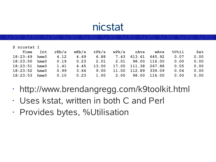## nicstat

| \$ nicstat 1 |            |       |       |       |       |        |             |       |      |
|--------------|------------|-------|-------|-------|-------|--------|-------------|-------|------|
| Time         | Int        | rkb/s | wKb/s | rPk/s | wPk/s | rAvs   | <b>WAVS</b> | %Util | Sat  |
| 18:23:49     | $h$ me $0$ | 4.12  | 4.69  | 6.88  | 7.43  | 613.61 | 645.92      | 0.07  | 0.00 |
| 18:23:50     | $h$ me $0$ | 0.19  | 0.23  | 2.01  | 2.01  | 98.00  | 116.00      | 0.00  | 0.00 |
| 18:23:51     | $h$ me $0$ | 1.41  | 4.45  | 13.00 | 17.00 | 111.38 | 267.88      | 0.05  | 0.00 |
| 18:23:52     | $h$ me $0$ | 0.99  | 3.64  | 9.00  | 11.00 | 112.89 | 339.09      | 0.04  | 0.00 |
| 18:23:53     | $h$ me $0$ | 0.10  | 0.23  | 1.00  | 2.00  | 98.00  | 116.00      | 0.00  | 0.00 |

- http://www.brendangregg.com/k9toolkit.html
- Uses kstat, written in both C and Perl
- Provides bytes, %Utilisation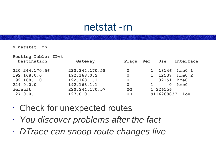### netstat -rn

**\$ netstat -rn**

| Routing Table: IPv4<br>Destination | Gateway        | Flags     | Ref | Use          | Interface      |
|------------------------------------|----------------|-----------|-----|--------------|----------------|
| 220.244.170.56                     | 220.244.170.58 | U         |     | 18146        | hme0:1         |
| 192.168.0.0                        | 192.168.0.2    | U         |     | 12537        | hme0:2         |
| 192.168.1.0                        | 192.168.1.1    | U         |     | 32151        | $h$ me $0$     |
| 224.0.0.0                          | 192.168.1.1    | U         |     | $\mathbf{0}$ | hme0           |
| default                            | 220.244.170.57 | <b>UG</b> |     | 1 326156     |                |
| 127.0.0.1                          | 127.0.0.1      | <b>UH</b> |     | 9116268837   | 1 <sub>0</sub> |

- Check for unexpected routes
- *You discover problems after the fact*
- *DTrace can snoop route changes live*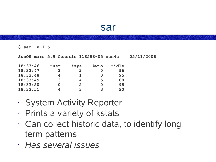#### sar

**\$ sar -u 1 5**

| SunOS mars 5.9 Generic 118558-05 sun4u |                |              |             |       | 05/11/2006 |
|----------------------------------------|----------------|--------------|-------------|-------|------------|
| 18:33:46                               | $8$ usr        | <u>ိုဒys</u> | <b>Swio</b> | %idle |            |
| 18:33:47                               | $\overline{2}$ |              |             | 96    |            |
| 18:33:48                               | 4              |              |             | 95    |            |
| 18:33:49                               | 3              | 4            | 5           | 88    |            |
| 18:33:50                               |                | $\mathbf{2}$ |             | 98    |            |
| 18:33:51                               | 4              | २            |             | 90    |            |
|                                        |                |              |             |       |            |

- System Activity Reporter
- Prints a variety of kstats
- Can collect historic data, to identify long term patterns
- *Has several issues*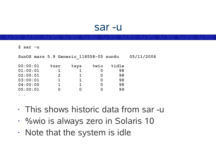#### sar -u

**\$ sar -u**

| SunOS mars 5.9 Generic 118558-05 sun4u |                |                         |             |       | 05/11/2006 |
|----------------------------------------|----------------|-------------------------|-------------|-------|------------|
| 00:00:01                               | <b>%usr</b>    | <u> <sup>8</sup>sys</u> | <b>Swio</b> | %idle |            |
| 01:00:01                               |                |                         |             | 98    |            |
| 02:00:01                               | $\overline{2}$ |                         | 0           | 98    |            |
| 03:00:01                               | 1              |                         | O           | 98    |            |
| 04:00:00                               |                |                         | O           | 98    |            |
| 05:00:01                               | 0              |                         |             | 99    |            |
|                                        |                |                         |             |       |            |

- This shows historic data from sar -u
- %wio is always zero in Solaris 10
- Note that the system is idle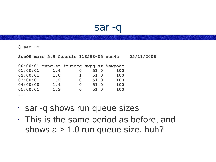#### sar -q

**\$ sar -q**

**SunOS mars 5.9 Generic\_118558-05 sun4u 05/11/2006 00:00:01 runq-sz %runocc swpq-sz %swpocc 01:00:01 1.4 0 51.0 100 02:00:01 1.0 1 51.0 100 03:00:01 1.2 0 51.0 100 04:00:00 1.4 0 51.0 100 05:00:01 1.3 0 51.0 100 ...**

- sar -q shows run queue sizes
- This is the same period as before, and shows a > 1.0 run queue size. huh?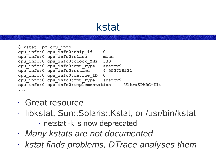## kstat

```
$ kstat -pm cpu_info
cpu_info:0:cpu_info0:chip_id 0
cpu_info:0:cpu_info0:class misc
cpu_info:0:cpu_info0:clock_MHz 333
cpu_info:0:cpu_info0:cpu_type sparcv9
cpu_info:0:cpu_info0:crtime 4.553718221
cpu_info:0:cpu_info0:device_ID 0
cpu_info:0:cpu_info0:fpu_type sparcv9
cpu_info:0:cpu_info0:implementation UltraSPARC-IIi
...
```
- Great resource
- libkstat, Sun::Solaris::Kstat, or /usr/bin/kstat
	- netstat -k is now deprecated
- *Many kstats are not documented*
- *kstat finds problems, DTrace analyses them*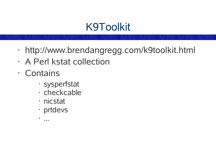## K9Toolkit

- http://www.brendangregg.com/k9toolkit.html
- A Perl kstat collection
- Contains
	- sysperfstat
	- checkcable
	- nicstat
	- prtdevs
	- ...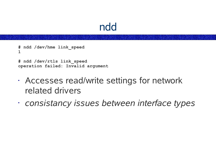### ndd

```
# ndd /dev/hme link_speed
1
```
**# ndd /dev/rtls link\_speed operation failed: Invalid argument**

- Accesses read/write settings for network related drivers
- *consistancy issues between interface types*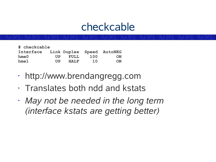### checkcable

| # checkcable                        |                                    |             |     |           |
|-------------------------------------|------------------------------------|-------------|-----|-----------|
| Interface Link Duplex Speed AutoNEG |                                    |             |     |           |
| $h$ me $0$                          | $\mathbf{I} \mathbf{I} \mathbf{P}$ | <b>FULL</b> | 100 | <b>ON</b> |
| $h$ me $1$                          | IIP.                               | HALF        | 10  | ON        |

- http://www.brendangregg.com
- Translates both ndd and kstats
- *May not be needed in the long term (interface kstats are getting better)*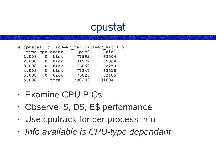### cpustat

|       |   |                | # cpustat -c pic0=EC ref, pic1=EC hit 1 5 |        |  |
|-------|---|----------------|-------------------------------------------|--------|--|
|       |   | time cpu event | pic0                                      | pic1   |  |
| 1.008 | 0 | tick           | 77992                                     | 63504  |  |
| 2.008 | 0 | tick           | 81972                                     | 65364  |  |
| 3.008 | O | tick           | 76869                                     | 62250  |  |
| 4.008 | O | tick           | 77347                                     | 62518  |  |
| 5.008 |   | tick           | 76023                                     | 62405  |  |
| 5.008 |   | 1 total        | 390203                                    | 316041 |  |

- Examine CPU PICs
- Observe I\$, D\$, E\$ performance
- Use cputrack for per-process info
- *Info available is CPU-type dependant*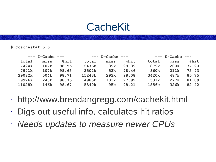### **CacheKit**

**# ccachestat 5 5**

|        | $---$ I-Cache $---$ |       |        | $---$ D-Cache $---$ |       |       | $---$ E-Cache $---$ |       |
|--------|---------------------|-------|--------|---------------------|-------|-------|---------------------|-------|
| total  | miss                | %hit  | total  | miss                | %hit  | total | miss                | %hit  |
| 7424k  | 107k                | 98.55 | 2476k  | 39k                 | 98.39 | 879k  | 200k                | 77.20 |
| 7941k  | 107k                | 98.65 | 3502k  | 53k                 | 98.46 | 860k  | 211k                | 75.43 |
| 39082k | 504k                | 98.71 | 15243k | 293k                | 98.08 | 3420k | 487k                | 85.75 |
| 19926k | 248k                | 98.75 | 4985k  | 103k                | 97.92 | 1531k | 277k                | 81.89 |
| 11028k | 146k                | 98.67 | 5340k  | 95k                 | 98.21 | 1856k | 326k                | 82.42 |

- http://www.brendangregg.com/cachekit.html
- Digs out useful info, calculates hit ratios
- *Needs updates to measure newer CPUs*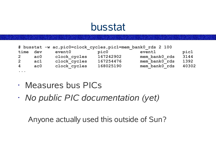### busstat

|                                   |                 | # busstat -w ac, pic0=clock cycles, pic1=mem bank0 rds 2 100 |           |               |       |
|-----------------------------------|-----------------|--------------------------------------------------------------|-----------|---------------|-------|
| time                              | dev             | event0                                                       | pic0      | event1        | pic1  |
| $\overline{2}$                    | ac <sub>0</sub> | clock cycles                                                 | 167242902 | mem bank0 rds | 3144  |
| $\overline{2}$                    | ac1             | clock cycles                                                 | 167254476 | mem bank0 rds | 1392  |
| $\overline{4}$                    | ac <sub>0</sub> | clock cycles                                                 | 168025190 | mem bank0 rds | 40302 |
| $\bullet\quad\bullet\quad\bullet$ |                 |                                                              |           |               |       |

- Measures bus PICs
- *No public PIC documentation (yet)*

Anyone actually used this outside of Sun?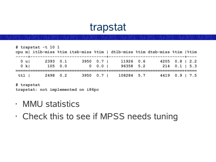### trapstat

|                      | # trapstat -t 10 1  |             |  | cpu m  itlb-miss %tim itsb-miss %tim   dtlb-miss %tim dtsb-miss %tim  %tim |  |                                     |  |
|----------------------|---------------------|-------------|--|----------------------------------------------------------------------------|--|-------------------------------------|--|
| $0 \text{ u}$<br>0 k | 2393 0.1<br>105 0.0 | $0 \t 0.01$ |  | 3950 0.7   11926 0.6<br>96358 5.2                                          |  | $4205$ 0.8   2.2<br>$214$ 0.1   5.3 |  |
|                      | ttl   2498 0.2      |             |  | 3950 0.7   108284 5.7 4419 0.9   7.5                                       |  |                                     |  |

**# trapstat trapstat: not implemented on i86pc**

- MMU statistics
- Check this to see if MPSS needs tuning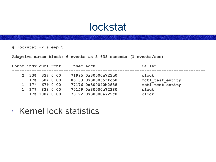### lockstat

**# lockstat -k sleep 5**

**Adaptive mutex block: 6 events in 5.638 seconds (1 events/sec)**

| Count indy cuml rent |                                     |  | nsec Lock |                     | Caller           |  |
|----------------------|-------------------------------------|--|-----------|---------------------|------------------|--|
|                      | $2\quad 33\% \quad 33\% \quad 0.00$ |  |           | 71995 0x30000e723c0 | clock            |  |
|                      | $1\quad 17\% \quad 50\% \quad 0.00$ |  |           | 85133 0x300055ffcb0 | rctl test entity |  |
|                      | $1\quad 17\% \quad 67\% \quad 0.00$ |  |           | 77176 0x300040b2888 | rctl test entity |  |
|                      | $1\quad 17\%$ 83% 0.00              |  |           | 70159 0x30000e72280 | clock            |  |
|                      | 1 17% 100% 0.00                     |  |           | 73192 0x30000e722c0 | clock            |  |
|                      |                                     |  |           |                     |                  |  |

• Kernel lock statistics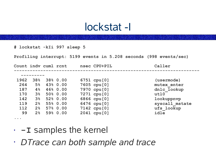#### lockstat -I

**# lockstat -kIi 997 sleep 5**

**Profiling interrupt: 5199 events in 5.208 seconds (998 events/sec)**

| Count indv cuml rent              |                |          | nsec CPU+PIL     | Caller         |
|-----------------------------------|----------------|----------|------------------|----------------|
|                                   |                |          |                  |                |
| 1962                              | 38%            | 38% 0.00 | $6751$ cpu $[0]$ | (usermode)     |
| 264                               | 5 <sup>°</sup> | 43% 0.00 | 7605 cpu [0]     | mutex enter    |
| 187                               | 4%             | 46% 0.00 | 7970 cpu [0]     | dnlc lookup    |
| 170                               | 3 <sup>°</sup> | 50% 0.00 | 7271 cpu [0]     | ut10           |
| 142                               | 3 <sup>8</sup> | 52% 0.00 | 6866 cpu [0]     | lookuppnvp     |
| 119                               | 2 <sup>8</sup> | 55% 0.00 | 6476 cpu [0]     | syscall mstate |
| 112                               | 2 <sup>8</sup> | 57% 0.00 | 7142 cpu [0]     | ufs lookup     |
| 99                                | 2 <sup>°</sup> | 59% 0.00 | $2041$ cpu $[0]$ | idle           |
| $\bullet\quad\bullet\quad\bullet$ |                |          |                  |                |

- **-I** samples the kernel
- *DTrace can both sample and trace*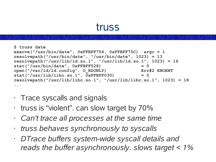#### truss

```
$ truss date
execve("/usr/bin/date", 0xFFBFF754, 0xFFBFF75C) argc = 1
resolvepath("/usr/bin/date", "/usr/bin/date", 1023) = 13
resolvepath("/usr/lib/ld.so.1", "/usr/lib/ld.so.1", 1023) = 16
stat("/usr/bin/date", 0xFFBFF528) = 0
open("/var/ld/ld.config", O_RDONLY) Err#2 ENOENT
stat("/usr/lib/libc.so.1", 0xFFBFF030) = 0
resolvepath("/usr/lib/libc.so.1", "/usr/lib/libc.so.1", 1023) = 18
...
```
- Trace syscalls and signals
- truss is "violent". can slow target by 70%
- *Can't trace all processes at the same time*
- *truss behaves synchronously to syscalls*
- *DTrace buffers system-wide syscall details and reads the buffer asynchronously. slows target < 1%*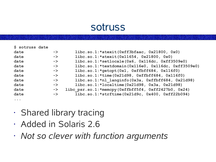#### sotruss

| \$ sotruss date      |               |                                                       |
|----------------------|---------------|-------------------------------------------------------|
| date                 | $\rightarrow$ | $libc.so.1: *atexit(0xff3bfaac, 0x21800, 0x0)$        |
| date                 | $\rightarrow$ | libc.so.1: *atexit( $0x11654$ , $0x21800$ , $0x0$ )   |
| date                 | $\rightarrow$ | libc.so.1:*setlocale(0x6, 0x116dc, 0xff3509e0)        |
| date                 | $\rightarrow$ | libc.so.1:*textdomain(0x116e0, 0x116dc, 0xff3509e0)   |
| date                 | $\rightarrow$ | libc.so.1: $*$ getopt(0x1, 0xffbff684, 0x116f0)       |
| date                 | $\rightarrow$ | libc.so.1: $\star$ time(0x21d98, 0xffbff684, 0x116f0) |
| date                 | $\rightarrow$ | libc.so.1:*nl langinfo(0x3a, 0xffbff684, 0x21d98)     |
| date                 | $\rightarrow$ | $libc.so.1: *localtime(0x21d98, 0x3a, 0x21d98)$       |
| date                 | $\rightarrow$ | libc psr.so.1:*memcpy(0xffbff5f4, 0xff2427b0, 0x24)   |
| date                 | $\rightarrow$ | $libc.so.1: *strtime(0x21d9c, 0x400, 0xff22b094)$     |
| $\ddot{\phantom{a}}$ |               |                                                       |

- Shared library tracing
- Added in Solaris 2.6
- *Not so clever with function arguments*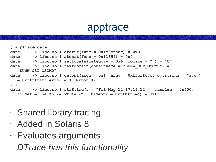#### apptrace

```
$ apptrace date
date -> libc.so.1:atexit(func = 0xff3bfaac) = 0x0
date -> libc.so.1:atexit(func = 0x11654) = 0x0
date -> libc.so.1:setlocale(category = 0x6, locale = "") = "C"
date -> libc.so.1:textdomain(domainname = "SUNW_OST_OSCMD") = 
  "SUNW_OST_OSCMD"
date -> libc.so.1:getopt(argc = 0x1, argv = 0xffbff67c, optstring = "a:u") 
  = 0xffffffff errno = 0 (Error 0)
...
date -> libc.so.1:strftime(s = "Fri May 12 17:16:12 ", maxsize = 0x400, 
  format = "%a %b %e %T %Z %Y", timeptr = 0xffbff5ec) = 0x1c
...
```
- Shared library tracing
- Added in Solaris 8
- Evaluates arguments
- *DTrace has this functionality*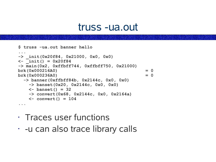#### truss -ua.out

```
$ truss -ua.out banner hello
...
-> _init(0x20f84, 0x21000, 0x0, 0x0)
<- _init() = 0x20f84
-> main(0x2, 0xffbff744, 0xffbff750, 0x21000)
brk(0x000216A0) = 0
brk(0x000236A0) = 0
 -> banner(0xffbff84b, 0x2144c, 0x0, 0x0)
   -> banset(0x20, 0x2144c, 0x0, 0x0)
   <- banset() = 32
   -> convert(0x68, 0x2144c, 0x0, 0x2164a)
   <- convert() = 104
...
```
- Traces user functions
- -u can also trace library calls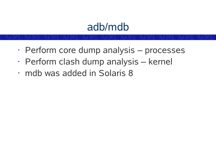### adb/mdb

- Perform core dump analysis processes
- Perform clash dump analysis kernel
- mdb was added in Solaris 8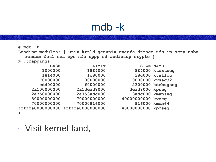### mdb -k

**# mdb -k Loading modules: [ unix krtld genunix specfs dtrace ufs ip sctp usba random fctl nca cpc nfs sppp sd audiosup crypto ] > ::mappings BASE LIMIT SIZE NAME 1000000 18f4000 8f4000 ktextseg 18f4000 1c80000 38c000 kvalloc 70000000 80000000 10000000 kvseg32 edd00000 f0000000 2300000 kdebugseg 2a100000000 2a13ead8000 3ead8000 kpseg 2a750000000 2a753adc000 3adc000 kmapseg 30000000000 70000000000 40000000000 kvseg 70000000000 70000916000 916000 kmem64 fffffa0000000000 fffffe0000000000 40000000000 kpmseg >**

• Visit kernel-land,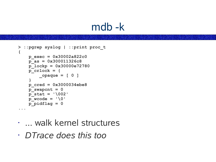### mdb -k

```
> ::pgrep syslog | ::print proc_t
{
    p_exec = 0x30002a822c0
    p_as = 0x300011326c8
    p_lockp = 0x30000e72780
    p_crlock = {
        _opaque = [ 0 ]
    }
    p_cred = 0x3000034ebe8
    p_swapcnt = 0
    p_stat = '\002'
    \overline{p}\text{-}wcode = \sqrt{0}p_pidflag = 0
...
```
- ... walk kernel structures
- *DTrace does this too*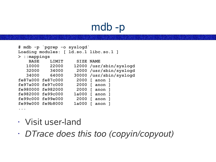# mdb -p

```
# mdb -p `pgrep -o syslogd`
Loading modules: [ ld.so.1 libc.so.1 ]
> ::mappings
   BASE LIMIT SIZE NAME
  10000 22000 12000 /usr/sbin/syslogd
  32000 34000 2000 /usr/sbin/syslogd
  34000 64000 30000 /usr/sbin/syslogd
fe87a000 fe87c000 2000 [ anon ]
fe97a000 fe97c000 2000 [ anon ]
fe980000 fe982000 2000 [ anon ]
fe982000 fe99c000 1a000 [ anon ]
fe99c000 fe99e000 2000 [ anon ]
fe99e000 fe9b8000 1a000 [ anon ]
```
• Visit user-land

**...**

• *DTrace does this too (copyin/copyout)*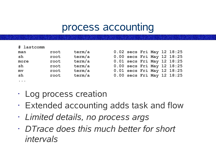### process accounting

| # lastcomm                                                                                 |      |        |  |  |                            |
|--------------------------------------------------------------------------------------------|------|--------|--|--|----------------------------|
| man                                                                                        | root | term/a |  |  | 0.02 secs Fri May 12 18:25 |
| sh                                                                                         | root | term/a |  |  | 0.00 secs Fri May 12 18:25 |
| more                                                                                       | root | term/a |  |  | 0.01 secs Fri May 12 18:25 |
| sh                                                                                         | root | term/a |  |  | 0.00 secs Fri May 12 18:25 |
| mv                                                                                         | root | term/a |  |  | 0.01 secs Fri May 12 18:25 |
| sh                                                                                         | root | term/a |  |  | 0.00 secs Fri May 12 18:25 |
| $\begin{array}{ccccccccccccc} \bullet & \bullet & \bullet & \bullet & \bullet \end{array}$ |      |        |  |  |                            |

|  |  | 0.02 secs Fri May 12 18:25 |
|--|--|----------------------------|
|  |  | 0.00 secs Fri May 12 18:25 |
|  |  | 0.01 secs Fri May 12 18:25 |
|  |  | 0.00 secs Fri May 12 18:25 |
|  |  | 0.01 secs Fri May 12 18:25 |
|  |  | 0.00 secs Fri May 12 18:25 |
|  |  |                            |

- Log process creation
- Extended accounting adds task and flow
- *Limited details, no process args*
- *DTrace does this much better for short intervals*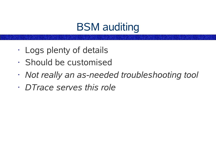## BSM auditing

- Logs plenty of details
- Should be customised
- *Not really an as-needed troubleshooting tool*
- *DTrace serves this role*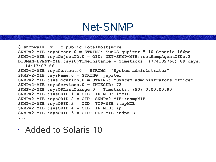### Net-SNMP

```
$ snmpwalk -v1 -c public localhost|more
SNMPv2-MIB::sysDescr.0 = STRING: SunOS jupiter 5.10 Generic i86pc
SNMPv2-MIB::sysObjectID.0 = OID: NET-SNMP-MIB::netSnmpAgentOIDs.3
DISMAN-EVENT-MIB::sysUpTimeInstance = Timeticks: (774102766) 89 days,
  14:17:07.66
SNMPv2-MIB::sysContact.0 = STRING: "System administrator"
SNMPv2-MIB::sysName.0 = STRING: jupiter
SNMPv2-MIB::sysLocation.0 = STRING: "System administrators office"
SNMPv2-MIB::sysServices.0 = INTEGER: 72
SNMPv2-MIB::sysORLastChange.0 = Timeticks: (90) 0:00:00.90
SNMPv2-MIB::sysORID.1 = OID: IF-MIB::ifMIB
SNMPv2-MIB::sysORID.2 = OID: SNMPv2-MIB::snmpMIB
SNMPv2-MIB::sysORID.3 = OID: TCP-MIB::tcpMIB
SNMPv2-MIB::sysORID.4 = OID: IP-MIB::ip
SNMPv2-MIB::sysORID.5 = OID: UDP-MIB::udpMIB
...
```
• Added to Solaris 10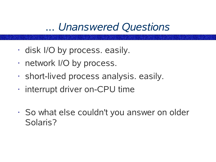### *... Unanswered Questions*

- disk I/O by process. easily.
- network I/O by process.
- short-lived process analysis. easily.
- interrupt driver on-CPU time
- So what else couldn't you answer on older Solaris?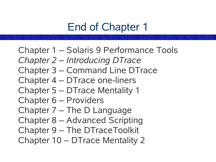## End of Chapter 1

Chapter 1 – Solaris 9 Performance Tools *Chapter 2 – Introducing DTrace* Chapter 3 – Command Line DTrace Chapter 4 – DTrace one-liners Chapter 5 – DTrace Mentality 1 Chapter 6 – Providers Chapter 7 – The D Language Chapter 8 – Advanced Scripting Chapter 9 – The DTraceToolkit Chapter 10 – DTrace Mentality 2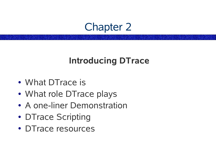### Chapter 2

#### **Introducing DTrace**

- What DTrace is
- What role DTrace plays
- A one-liner Demonstration
- DTrace Scripting
- DTrace resources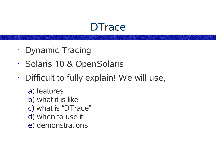### **DTrace**

- Dynamic Tracing
- Solaris 10 & OpenSolaris
- Difficult to fully explain! We will use,
	- a) features b) what it is like c) what is "DTrace" d) when to use it e) demonstrations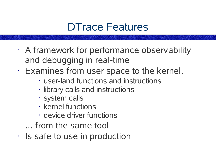### DTrace Features

- A framework for performance observability and debugging in real-time
- Examines from user space to the kernel,
	- user-land functions and instructions
	- library calls and instructions
	- system calls
	- kernel functions
	- device driver functions
	- *...* from the same tool
- Is safe to use in production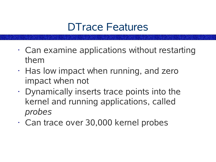### DTrace Features

- Can examine applications without restarting them
- Has low impact when running, and zero impact when not
- Dynamically inserts trace points into the kernel and running applications, called *probes*
- Can trace over 30,000 kernel probes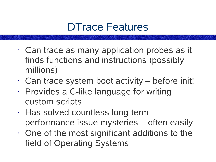### DTrace Features

- Can trace as many application probes as it finds functions and instructions (possibly millions)
- $\cdot$  Can trace system boot activity before init!
- Provides a C-like language for writing custom scripts
- Has solved countless long-term performance issue mysteries – often easily
- One of the most significant additions to the field of Operating Systems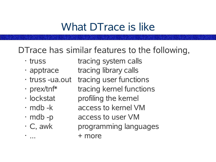## What DTrace is like

#### DTrace has similar features to the following,

- 
- 
- 
- 
- · lockstat
- 
- 
- 

• truss tracing system calls

- $\cdot$  apptrace tracing library calls
- truss -ua.out tracing user functions
- prex/tnf<sup>\*</sup> tracing kernel functions
	- profiling the kernel
- mdb -k access to kernel VM
- mdb -p access to user VM
- C, awk programming languages  $\cdots$  + more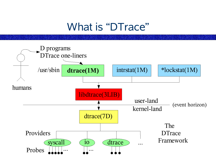### What is "DTrace"

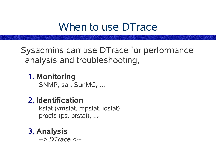### When to use DTrace

Sysadmins can use DTrace for performance analysis and troubleshooting,

#### **1. Monitoring**

SNMP, sar, SunMC, ...

#### **2. Identification**

kstat (vmstat, mpstat, iostat) procfs (ps, prstat), ...

**3. Analysis** *--> DTrace <--*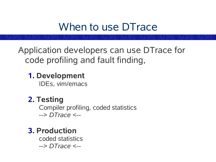### When to use DTrace

Application developers can use DTrace for code profiling and fault finding,

**1. Development**

IDEs, vim/emacs

**2. Testing** Compiler profiling, coded statistics --> *DTrace* <--

**3. Production**

coded statistics --> *DTrace* <--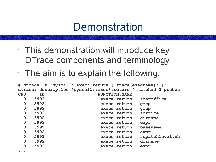### **Demonstration**

- This demonstration will introduce key DTrace components and terminology
- $\cdot$  The aim is to explain the following,

**...**

```
# dtrace -n 'syscall::exec*:return { trace(execname); }'
dtrace: description 'syscall::exec*:return ' matched 2 probes
CPU ID FUNCTION:NAME
 0 5992 exece:return staroffice
 0 5992 exece:return grep
 0 5992 exece:return grep
 0 5992 exece:return soffice
 0 5992 exece:return dirname
 0 5992 exece:return expr
 0 5992 exece:return basename
 0 5992 exece:return expr
 0 5992 exece:return sopatchlevel.sh
 0 5992 exece:return dirname
 0 5992 exece:return expr
```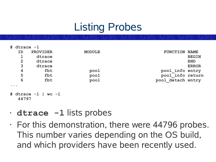# Listing Probes

| #<br>dtrace -1                    |                         |               |                                |
|-----------------------------------|-------------------------|---------------|--------------------------------|
| ID                                | <b>PROVIDER</b>         | <b>MODULE</b> | <b>FUNCTION</b><br><b>NAME</b> |
|                                   | dtrace                  |               | <b>BEGIN</b>                   |
| $\overline{2}$                    | dtrace                  |               | <b>END</b>                     |
| 3                                 | dtrace                  |               | <b>ERROR</b>                   |
| 4                                 | fbt                     | pool          | pool info entry                |
| 5                                 | fbt                     | pool          | pool info return               |
| 6                                 | fbt                     | pool          | pool detach entry              |
| $\bullet\quad\bullet\quad\bullet$ |                         |               |                                |
| 44797                             | # dtrace $-1$   wc $-1$ |               |                                |

- **dtrace -l** lists probes
- $\cdot$  For this demonstration, there were 44796 probes. This number varies depending on the OS build, and which providers have been recently used.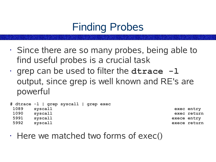## Finding Probes

- Since there are so many probes, being able to find useful probes is a crucial task
- grep can be used to filter the **dtrace -l** output, since grep is well known and RE's are powerful

|      | # dtrace -1   grep syscall   grep exec |             |              |
|------|----------------------------------------|-------------|--------------|
| 1089 | syscall                                |             | exec entry   |
| 1090 | syscall                                |             | exec return  |
| 5991 | syscall                                | exece entry |              |
| 5992 | syscall                                |             | exece return |

 $\cdot$  Here we matched two forms of exec()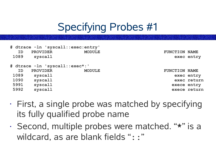# Specifying Probes #1

|                                |                 | # dtrace -ln 'syscall::exec:entry'    |              |
|--------------------------------|-----------------|---------------------------------------|--------------|
| ID                             | <b>PROVIDER</b> | <b>MODULE</b><br><b>FUNCTION NAME</b> |              |
| 1089                           | syscall         |                                       | exec entry   |
|                                |                 |                                       |              |
| # dtrace -ln 'syscall::exec*:' |                 |                                       |              |
| ID                             | <b>PROVIDER</b> | <b>MODULE</b><br><b>FUNCTION NAME</b> |              |
| 1089                           | syscall         |                                       | exec entry   |
| 1090                           | syscall         |                                       | exec return  |
| 5991                           | syscall         |                                       | exece entry  |
| 5992                           | syscall         |                                       | exece return |
|                                |                 |                                       |              |

- First, a single probe was matched by specifying its fully qualified probe name
- Second, multiple probes were matched. "**\***" is a wildcard, as are blank fields ": : "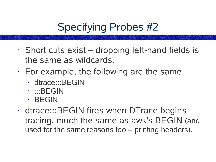# Specifying Probes #2

- $\cdot$  Short cuts exist dropping left-hand fields is the same as wildcards.
- $\cdot$  For example, the following are the same
	- dtrace:::BEGIN
	- :::BEGIN
	- BEGIN
- dtrace:::BEGIN fires when DTrace begins tracing, much the same as awk's BEGIN (and used for the same reasons too – printing headers).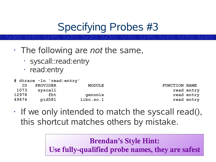# Specifying Probes #3

- The following are *not* the same,
	- syscall::read:entry
	- read:entry

|                      |               | # dtrace -ln 'read:entry' |                 |       |
|----------------------|---------------|---------------------------|-----------------|-------|
| <b>FUNCTION NAME</b> | <b>MODULE</b> |                           | <b>PROVIDER</b> | ID.   |
| read entry           |               | syscall                   |                 | 1073  |
| read entry           | qenunix       | fbt                       |                 | 12978 |
| read entry           | libe. so.1    | pid581                    |                 | 49474 |

 $\cdot$  If we only intended to match the syscall read(), this shortcut matches others by mistake.

#### **Brendan's Style Hint: Use fully-qualified probe names, they are safest**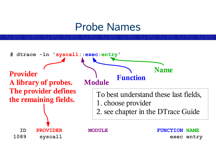#### Probe Names

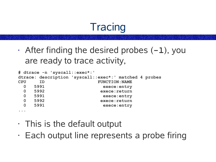# **Tracing**

• After finding the desired probes (**-l**), you are ready to trace activity,

```
# dtrace -n 'syscall::exec*:'
dtrace: description 'syscall::exec*:' matched 4 probes
CPU ID FUNCTION:NAME
 0 5991 exece:entry
 0 5992 exece:return
 0 5991 exece:entry
 0 5992 exece:return
 0 5991 exece:entry
...
```
- This is the default output
- Each output line represents a probe firing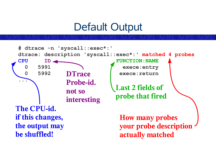### Default Output

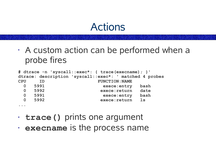#### Actions

• A custom action can be performed when a probe fires

|             |      |    | # dtrace -n 'syscall::exec*: { trace (execname) ; }' |                       |              |                                                         |
|-------------|------|----|------------------------------------------------------|-----------------------|--------------|---------------------------------------------------------|
|             |      |    |                                                      |                       |              | dtrace: description 'syscall::exec*: ' matched 4 probes |
| <b>CPU</b>  |      | TD |                                                      | <b>FUNCTION: NAME</b> |              |                                                         |
|             | 5991 |    |                                                      |                       | exece: entry | bash                                                    |
| $\Omega$    | 5992 |    |                                                      | exece: return         |              | date                                                    |
| $\mathbf 0$ | 5991 |    |                                                      |                       | exece: entry | bash                                                    |
| 0           | 5992 |    |                                                      | exece: return         |              | $\mathbf{1}\mathbf{s}$                                  |
|             |      |    |                                                      |                       |              |                                                         |

- **trace()** prints one argument
- **execname** is the process name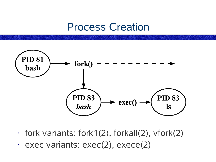#### Process Creation



- fork variants: fork1(2), forkall(2), vfork(2)
- $\cdot$  exec variants: exec(2), exece(2)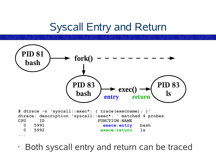# Syscall Entry and Return



• Both syscall entry and return can be traced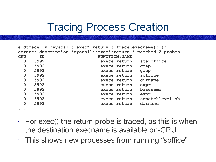# Tracing Process Creation

| # dtrace -n 'syscall::exec*:return { trace(execname) ; } ' |                                                               |                                  |  |  |  |  |  |  |
|------------------------------------------------------------|---------------------------------------------------------------|----------------------------------|--|--|--|--|--|--|
|                                                            | dtrace: description 'syscall::exec*:return ' matched 2 probes |                                  |  |  |  |  |  |  |
| <b>CPU</b>                                                 | <b>ID</b>                                                     | <b>FUNCTION: NAME</b>            |  |  |  |  |  |  |
| $\mathbf 0$                                                | 5992                                                          | staroffice<br>exece:return       |  |  |  |  |  |  |
| $\mathbf 0$                                                | 5992                                                          | exece: return<br>grep            |  |  |  |  |  |  |
| $\mathbf 0$                                                | 5992                                                          | exece: return<br>grep            |  |  |  |  |  |  |
| $\mathbf 0$                                                | 5992                                                          | soffice<br>exece: return         |  |  |  |  |  |  |
| $\mathbf 0$                                                | 5992                                                          | dirname<br>exece: return         |  |  |  |  |  |  |
| $\overline{0}$                                             | 5992                                                          | exece: return<br>expr            |  |  |  |  |  |  |
| $\mathbf 0$                                                | 5992                                                          | basename<br>exece: return        |  |  |  |  |  |  |
| $\mathbf 0$                                                | 5992                                                          | exece: return<br>expr            |  |  |  |  |  |  |
| $\mathbf 0$                                                | 5992                                                          | sopatchlevel.sh<br>exece: return |  |  |  |  |  |  |
| $\mathbf 0$                                                | 5992                                                          | dirname<br>exece: return         |  |  |  |  |  |  |
|                                                            |                                                               |                                  |  |  |  |  |  |  |

**...**

- $\cdot$  For exec() the return probe is traced, as this is when the destination execname is available on-CPU
- This shows new processes from running "soffice"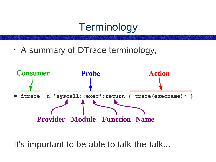### **Terminology**

• A summary of DTrace terminology,



It's important to be able to talk-the-talk...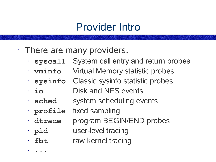### Provider Intro

- There are many providers,
	- **syscall** System call entry and return probes
	- **vminfo** Virtual Memory statistic probes
	- **sysinfo** Classic sysinfo statistic probes
	- **io** Disk and NFS events
	- **sched** system scheduling events
	- **profile** fixed sampling

• **...**

- **dtrace** program BEGIN/END probes
- **pid** user-level tracing
- **fbt** raw kernel tracing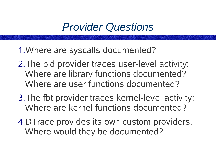# *Provider Questions*

- 1.Where are syscalls documented?
- 2.The pid provider traces user-level activity: Where are library functions documented? Where are user functions documented?
- 3.The fbt provider traces kernel-level activity: Where are kernel functions documented?
- 4.DTrace provides its own custom providers. Where would they be documented?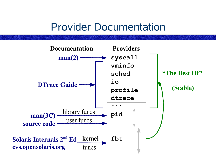### Provider Documentation

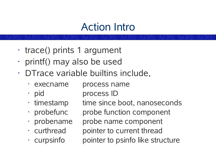# Action Intro

- trace() prints 1 argument
- printf() may also be used
- DTrace variable builtins include,
	- execname process name
	- pid process ID
	-
	-
	-
	-
	-

 $\cdot$  timestamp time since boot, nanoseconds • probefunc probe function component • probename probe name component • curthread pointer to current thread  $\cdot$  curpsinfo pointer to psinfo like structure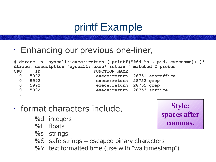# printf Example

• Enhancing our previous one-liner,

```
# dtrace -n 'syscall::exec*:return { printf("%6d %s", pid, execname); }'
dtrace: description 'syscall::exec*:return ' matched 2 probes
CPU ID FUNCTION:NAME
 0 5992 exece:return 28751 staroffice
 0 5992 exece:return 28752 grep
 0 5992 exece:return 28755 grep
 0 5992 exece:return 28753 soffice
...
```
- format characters include,
	- %d integers
	- %f floats
	- %s strings
	- %S safe strings escaped binary characters
	- %Y text formatted time (use with "walltimestamp")

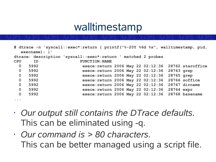### walltimestamp

| # dtrace -n 'syscall::exec*:return { printf("%-20Y %6d %s", walltimestamp, pid,<br>$execname)$ ; }' |                                                               |  |                                                     |  |  |  |  |  |
|-----------------------------------------------------------------------------------------------------|---------------------------------------------------------------|--|-----------------------------------------------------|--|--|--|--|--|
|                                                                                                     | dtrace: description 'syscall::exec*:return ' matched 2 probes |  |                                                     |  |  |  |  |  |
| <b>CPU</b>                                                                                          | ID                                                            |  | <b>FUNCTION: NAME</b>                               |  |  |  |  |  |
| $\mathbf 0$                                                                                         | 5992                                                          |  | exece: return 2006 May 22 02:12:36 28762 staroffice |  |  |  |  |  |
| $\mathbf 0$                                                                                         | 5992                                                          |  | exece: return 2006 May 22 02:12:36 28763 grep       |  |  |  |  |  |
| $\mathbf 0$                                                                                         | 5992                                                          |  | exece: return 2006 May 22 02:12:36 28765 grep       |  |  |  |  |  |
| $\mathbf 0$                                                                                         | 5992                                                          |  | exece: return 2006 May 22 02:12:36 28766 soffice    |  |  |  |  |  |
| $\mathbf 0$                                                                                         | 5992                                                          |  | exece: return 2006 May 22 02:12:36 28767 dirname    |  |  |  |  |  |
| $\mathbf 0$                                                                                         | 5992                                                          |  | exece: return 2006 May 22 02:12:36 28764 expr       |  |  |  |  |  |
| $\mathbf 0$                                                                                         | 5992                                                          |  | exece: return 2006 May 22 02:12:36 28768 basename   |  |  |  |  |  |
| $\bullet$ , $\bullet$ , $\bullet$                                                                   |                                                               |  |                                                     |  |  |  |  |  |

- *Our output still contains the DTrace defaults.* This can be eliminated using -q.
- *Our command is > 80 characters.* This can be better managed using a script file.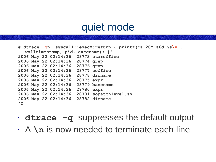#### quiet mode

```
# dtrace -qn 'syscall::exec*:return { printf("%-20Y %6d %s\n",
  walltimestamp, pid, execname); }'
2006 May 22 02:14:36 28773 staroffice
2006 May 22 02:14:36 28774 grep
2006 May 22 02:14:36 28776 grep
2006 May 22 02:14:36 28777 soffice
2006 May 22 02:14:36 28778 dirname
2006 May 22 02:14:36 28775 expr
2006 May 22 02:14:36 28779 basename
2006 May 22 02:14:36 28780 expr
2006 May 22 02:14:36 28781 sopatchlevel.sh
2006 May 22 02:14:36 28782 dirname
^{\wedge}C
```
- **dtrace -q** suppresses the default output
- A **\n** is now needed to terminate each line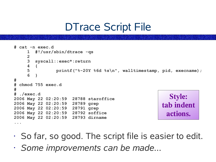# DTrace Script File

```
# cat -n exec.d
    1 #!/usr/sbin/dtrace -qs
    2
     3 syscall::exec*:return
    4 {
    5 printf("%-20Y %6d %s\n", walltimestamp, pid, execname);
    6 }
#
# chmod 755 exec.d
#
# ./exec.d
2006 May 22 02:20:59 28788 staroffice
2006 May 22 02:20:59 28789 grep
2006 May 22 02:20:59 28791 grep
2006 May 22 02:20:59 28792 soffice
2006 May 22 02:20:59 28793 dirname
...
                                                         Style:
                                                      tab indent
                                                        actions.
```
- So far, so good. The script file is easier to edit.
- *Some improvements can be made...*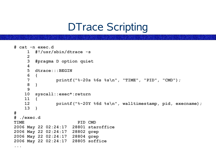### DTrace Scripting

```
# cat -n exec.d
    1 #!/usr/sbin/dtrace -s
    2
    3 #pragma D option quiet
    4
    5 dtrace:::BEGIN
    6 {
    7 printf("%-20s %6s %s\n", "TIME", "PID", "CMD");
    8 }
    9
   10 syscall::exec*:return
   11 {
              12 printf("%-20Y %6d %s\n", walltimestamp, pid, execname);
   13 }
#
# ./exec.d
TIME PID CMD
2006 May 22 02:24:17 28801 staroffice
2006 May 22 02:24:17 28802 grep
2006 May 22 02:24:17 28804 grep
2006 May 22 02:24:17 28805 soffice
...
```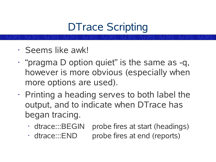# DTrace Scripting

- Seems like awk!
- "pragma D option quiet" is the same as -q, however is more obvious (especially when more options are used).
- $\cdot$  Printing a heading serves to both label the output, and to indicate when DTrace has began tracing.
	- dtrace:::BEGIN probe fires at start (headings)
	- dtrace:::END probe fires at end (reports)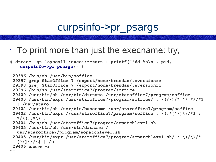### curpsinfo->pr\_psargs

 $\cdot$  To print more than just the execname: try,

```
# dtrace -qn 'syscall::exec*:return { printf("%6d %s\n", pid,
   curpsinfo->pr_psargs); }'
29396 /bin/sh /usr/bin/soffice
 29397 grep StarOffice 7 /export/home/brendan/.sversionrc
 29398 grep StarOffice 7 /export/home/brendan/.sversionrc
 29396 /bin/sh /usr/staroffice7/program/soffice
 29400 /usr/bin/sh /usr/bin/dirname /usr/staroffice7/program/soffice
 29400 /usr/bin/expr /usr/staroffice7/program/soffice/ : \(/\)/*[^/]*//*$
  | /usr/staro
29402 /usr/bin/sh /usr/bin/basename /usr/staroffice7/program/soffice
 29402 /usr/bin/expr //usr/staroffice7/program/soffice : \(.*[^/]\)/*$ : .
  */\(..*\) :
29404 /bin/sh /usr/staroffice7/program/sopatchlevel.sh
 29405 /usr/bin/sh /usr/bin/dirname /
  usr/staroffice7/program/sopatchlevel.sh
 29405 /usr/bin/expr /usr/staroffice7/program/sopatchlevel.sh/ : \(/\)/*
  [^/]*//*$ | /u
29406 uname -s
```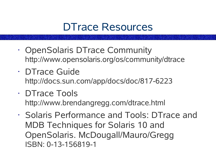#### DTrace Resources

- OpenSolaris DTrace Community http://www.opensolaris.org/os/community/dtrace
- DTrace Guide http://docs.sun.com/app/docs/doc/817-6223
- DTrace Tools http://www.brendangregg.com/dtrace.html
- Solaris Performance and Tools: DTrace and MDB Techniques for Solaris 10 and OpenSolaris. McDougall/Mauro/Gregg ISBN: 0-13-156819-1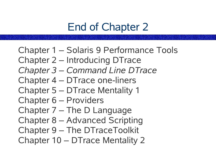# End of Chapter 2

Chapter 1 – Solaris 9 Performance Tools Chapter 2 – Introducing DTrace *Chapter 3 – Command Line DTrace* Chapter 4 – DTrace one-liners Chapter 5 – DTrace Mentality 1 Chapter 6 – Providers Chapter 7 – The D Language Chapter 8 – Advanced Scripting Chapter 9 – The DTraceToolkit Chapter 10 – DTrace Mentality 2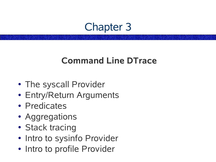#### Chapter 3

#### **Command Line DTrace**

- The syscall Provider
- Entry/Return Arguments
- Predicates
- Aggregations
- Stack tracing
- Intro to sysinfo Provider
- Intro to profile Provider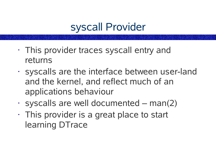# syscall Provider

- This provider traces syscall entry and returns
- syscalls are the interface between user-land and the kernel, and reflect much of an applications behaviour
- $\cdot$  syscalls are well documented man(2)
- This provider is a great place to start learning DTrace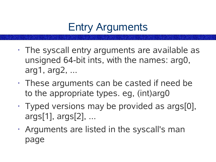# Entry Arguments

- The syscall entry arguments are available as unsigned 64-bit ints, with the names: arg0, arg1, arg2, ...
- These arguments can be casted if need be to the appropriate types. eg, (int)arg0
- Typed versions may be provided as args[0], args[1], args[2], ...
- Arguments are listed in the syscall's man page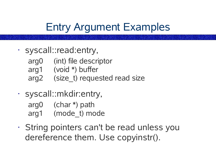# Entry Argument Examples

- syscall::read:entry,
	- arg0 (int) file descriptor
	- arg1 (void \*) buffer
	- arg2 (size t) requested read size
- syscall::mkdir:entry,

arg0 (char \*) path arg1 (mode\_t) mode

• String pointers can't be read unless you dereference them. Use copyinstr().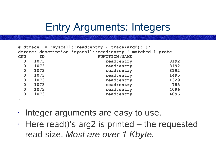### Entry Arguments: Integers

|             |      | # dtrace -n 'syscall::read:entry { trace(arg2); }'         |      |
|-------------|------|------------------------------------------------------------|------|
|             |      | dtrace: description 'syscall::read:entry ' matched 1 probe |      |
| <b>CPU</b>  | ID   | <b>FUNCTION: NAME</b>                                      |      |
| $\mathbf 0$ | 1073 | read: entry                                                | 8192 |
| $\mathbf 0$ | 1073 | read: entry                                                | 8192 |
| $\mathbf 0$ | 1073 | read: entry                                                | 8192 |
| $\mathbf 0$ | 1073 | read: entry                                                | 1495 |
| $\mathbf 0$ | 1073 | read: entry                                                | 1329 |
| $\mathbf 0$ | 1073 | read: entry                                                | 785  |
| $\mathbf 0$ | 1073 | read: entry                                                | 4096 |
| $\mathbf 0$ | 1073 | read: entry                                                | 4096 |
|             |      |                                                            |      |

- Integer arguments are easy to use.
- $\cdot$  Here read()'s arg2 is printed the requested read size. *Most are over 1 Kbyte.*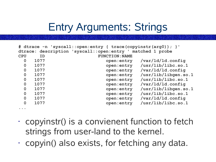# Entry Arguments: Strings

|                                       |                                                            | # dtrace -n 'syscall::open:entry { trace (copyinstr (arg0) ) ; } ' |                      |  |  |  |  |  |
|---------------------------------------|------------------------------------------------------------|--------------------------------------------------------------------|----------------------|--|--|--|--|--|
|                                       | dtrace: description 'syscall::open:entry ' matched 1 probe |                                                                    |                      |  |  |  |  |  |
| <b>CPU</b>                            | <b>ID</b>                                                  | <b>FUNCTION: NAME</b>                                              |                      |  |  |  |  |  |
| $\mathbf 0$                           | 1077                                                       | open: entry                                                        | $/var/ld/ld$ .config |  |  |  |  |  |
| $\mathbf 0$                           | 1077                                                       | open: entry                                                        | /usr/lib/libc. so.1  |  |  |  |  |  |
| $\mathbf 0$                           | 1077                                                       | open: entry                                                        | $/var/ld/ld$ .config |  |  |  |  |  |
| $\mathbf 0$                           | 1077                                                       | open: entry                                                        | /usr/lib/libgen.so.1 |  |  |  |  |  |
| $\mathbf 0$                           | 1077                                                       | open: entry                                                        | /usr/lib/libc. so.1  |  |  |  |  |  |
| $\mathbf 0$                           | 1077                                                       | open: entry                                                        | $/var/ld/ld$ .config |  |  |  |  |  |
| $\mathbf{0}$                          | 1077                                                       | open: entry                                                        | /usr/lib/libgen.so.1 |  |  |  |  |  |
| $\mathbf 0$                           | 1077                                                       | open: entry                                                        | /usr/lib/libc.so.1   |  |  |  |  |  |
| $\mathbf 0$                           | 1077                                                       | open: entry                                                        | $/var/ld/ld$ .config |  |  |  |  |  |
| $\mathbf 0$                           | 1077                                                       | open: entry                                                        | /usr/lib/libc. so.1  |  |  |  |  |  |
| $\bullet\qquad \bullet\qquad \bullet$ |                                                            |                                                                    |                      |  |  |  |  |  |

- $\cdot$  copyinstr() is a convienent function to fetch strings from user-land to the kernel.
- $\cdot$  copyin() also exists, for fetching any data.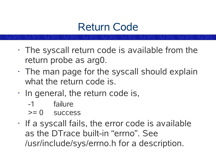### Return Code

- $\cdot$  The syscall return code is available from the return probe as arg0.
- $\cdot$  The man page for the syscall should explain what the return code is.
- In general, the return code is,
	- -1 failure
	- >= 0 success
- $\cdot$  If a syscall fails, the error code is available as the DTrace built-in "errno". See /usr/include/sys/errno.h for a description.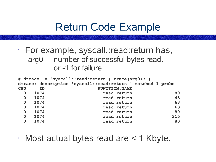#### Return Code Example

• For example, syscall::read:return has, arg0 number of successful bytes read, or -1 for failure

| # dtrace -n 'syscall::read:return { trace(arg0); }' |                                                             |                       |     |  |  |  |  |  |
|-----------------------------------------------------|-------------------------------------------------------------|-----------------------|-----|--|--|--|--|--|
|                                                     | dtrace: description 'syscall::read:return ' matched 1 probe |                       |     |  |  |  |  |  |
| <b>CPU</b>                                          | ID                                                          | <b>FUNCTION: NAME</b> |     |  |  |  |  |  |
| $\mathbf 0$                                         | 1074                                                        | read: return          | 80  |  |  |  |  |  |
| $\mathbf 0$                                         | 1074                                                        | read: return          | 45  |  |  |  |  |  |
| $\mathbf 0$                                         | 1074                                                        | read: return          | 63  |  |  |  |  |  |
| $\mathbf 0$                                         | 1074                                                        | read: return          | 63  |  |  |  |  |  |
| $\mathbf 0$                                         | 1074                                                        | read: return          | 80  |  |  |  |  |  |
| $\mathbf 0$                                         | 1074                                                        | read: return          | 315 |  |  |  |  |  |
| $\mathbf 0$                                         | 1074                                                        | read: return          | 80  |  |  |  |  |  |
|                                                     |                                                             |                       |     |  |  |  |  |  |

• Most actual bytes read are < 1 Kbyte.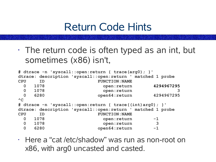#### Return Code Hints

 $\cdot$  The return code is often typed as an int, but sometimes (x86) isn't,

```
# dtrace -n 'syscall::open:return { trace(arg0); }'
dtrace: description 'syscall::open:return ' matched 1 probe
CPU ID FUNCTION:NAME
 0 1078 open:return 4294967295
 0 1078 open:return 3
 0 6280 open64:return 4294967295
AC# dtrace -n 'syscall::open:return { trace((int)arg0); }'
dtrace: description 'syscall::open:return ' matched 1 probe
CPU ID FUNCTION:NAME
 0 1078 open:return -1
 0 1078 open:return 3
 0 6280 open64:return -1
```
• Here a "cat /etc/shadow" was run as non-root on x86, with arg0 uncasted and casted.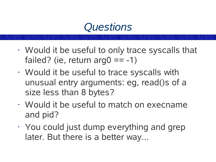### *Questions*

- Would it be useful to only trace syscalls that failed? (ie, return arg $0 == -1$ )
- Would it be useful to trace syscalls with unusual entry arguments: eg, read()s of a size less than 8 bytes?
- Would it be useful to match on execname and pid?
- You could just dump everything and grep later. But there is a better way...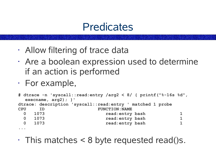#### **Predicates**

- Allow filtering of trace data
- Are a boolean expression used to determine if an action is performed
- For example,

```
# dtrace -n 'syscall::read:entry /arg2 < 8/ { printf("%-16s %d",
 execname, arg2); }'
dtrace: description 'syscall::read:entry ' matched 1 probe
CPU ID FUNCTION:NAME
 0 1073 read:entry bash 1
 0 1073 read:entry bash 1
 0 1073 read:entry bash 1
...
```
 $\cdot$  This matches < 8 byte requested read()s.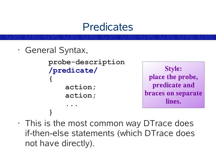#### **Predicates**

• General Syntax,

**}**

```
probe-description
/predicate/
{
    action;
    action;
    ...
```
**Style: place the probe, predicate and braces on separate lines.**

 $\cdot$  This is the most common way DT race does if-then-else statements (which DTrace does not have directly).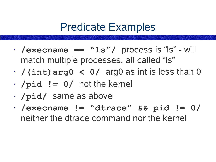### Predicate Examples

- **/execname == "ls"/** process is "ls" will match multiple processes, all called "ls"
- **/(int)arg0 < 0/** arg0 as int is less than 0
- **/pid != 0/** not the kernel
- **/pid/** same as above
- **/execname != "dtrace" && pid != 0/** neither the dtrace command nor the kernel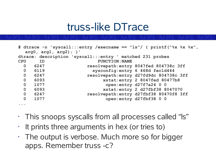#### truss-like DTrace

|                |                          |                                                           | # dtrace -n 'syscall:::entry /execname == "ls"/ { printf ("%x %x %x", |
|----------------|--------------------------|-----------------------------------------------------------|-----------------------------------------------------------------------|
|                | $arg0, arg1, arg2)$ ; }' |                                                           |                                                                       |
|                |                          | dtrace: description 'syscall:::entry ' matched 231 probes |                                                                       |
| <b>CPU</b>     | <b>ID</b>                | <b>FUNCTION: NAME</b>                                     |                                                                       |
| $\overline{0}$ | 6247                     |                                                           | resolvepath: entry 8047fed 804738c 3ff                                |
| $\overline{0}$ | 6119                     |                                                           | sysconfig: entry 6 468d fec1d444                                      |
| $\overline{0}$ | 6247                     |                                                           | resolvepath: entry d27fd9dc 804738c 3ff                               |
| $\overline{0}$ | 6093                     |                                                           | xstat: entry 2 8047fed 80477b8                                        |
| $\mathbf 0$    | 1077                     |                                                           | open: entry d27f7a24 0 0                                              |
| $\mathbf 0$    | 6093                     |                                                           | xstat: entry 2 d27fbf38 8047070                                       |
| $\mathbf 0$    | 6247                     |                                                           | resolvepath: entry d27fbf38 80470f8 3ff                               |
| $\mathbf 0$    | 1077                     |                                                           | open: entry d27fbf38 0 0                                              |
|                |                          |                                                           |                                                                       |

- This snoops syscalls from all processes called "ls"
- $\cdot$  It prints three arguments in hex (or tries to)

**...**

 $\cdot$  The output is verbose. Much more so for bigger apps. Remember truss -c?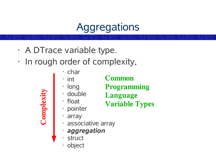## **Aggregations**

- A DTrace variable type.
- In rough order of complexity,
	- char
	- int

#### **Common**

- long
- double
- float

**Programming Language**

- **Variable Types**
- pointer
- array

**Co**

**mp**

**l e**

**xity**

- associative array
- *aggregation*
- struct
- object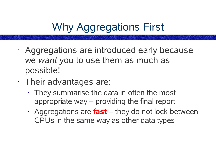# Why Aggregations First

- Aggregations are introduced early because we *want* you to use them as much as possible!
- Their advantages are:
	- $\cdot$  They summarise the data in often the most appropriate way – providing the final report
	- Aggregations are **fast** they do not lock between CPUs in the same way as other data types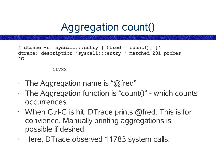Aggregation count()

```
# dtrace -n 'syscall:::entry { @fred = count(); }'
dtrace: description 'syscall:::entry ' matched 231 probes
\LambdaC
```
#### **11783**

- $\cdot$  The Aggregation name is "@fred"
- $\cdot$  The Aggregation function is "count()" which counts occurrences
- $\cdot$  When Ctrl-C is hit, DTrace prints @fred. This is for convience. Manually printing aggregations is possible if desired.
- Here, DTrace observed 11783 system calls.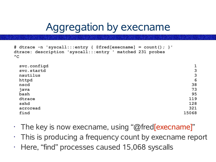## Aggregation by execname

```
# dtrace -n 'syscall:::entry { @fred[execname] = count(); }'
dtrace: description 'syscall:::entry ' matched 231 probes
\Lambda\cap
```

| svc.configd<br>svc.startd<br>nautilus | $\mathbf 1$<br>3<br>3 |
|---------------------------------------|-----------------------|
| httpd                                 | 6                     |
| nscd                                  | 38                    |
| java                                  | 73                    |
| bash                                  | 95                    |
| dtrace                                | 119                   |
| sshd                                  | 128                   |
| acroread                              | 321                   |
| find                                  | 15068                 |

- $\cdot$  The key is now execname, using "@fred[execname]"
- $\cdot$  This is producing a frequency count by execname report
- Here, "find" processes caused 15,068 syscalls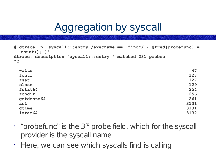## Aggregation by syscall

```
# dtrace -n 'syscall:::entry /execname == "find"/ { @fred[probefunc] =
  count(); }'
dtrace: description 'syscall:::entry ' matched 231 probes
\wedgeC
```

| write      | 47   |
|------------|------|
| fcntl      | 127  |
| fsat       | 127  |
| close      | 129  |
| fstat64    | 254  |
| fchdir     | 256  |
| getdents64 | 261  |
| ac1        | 3131 |
| gtime      | 3131 |
| 1stat64    | 3132 |

- $\cdot$  "probefunc" is the 3 $^{rd}$  probe field, which for the syscall provider is the syscall name
- $\cdot$  Here, we can see which syscalls find is calling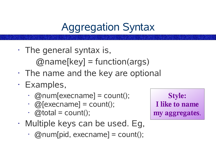# Aggregation Syntax

• The general syntax is,

 $[$ *@name*[key] = function(args)

- $\cdot$  The name and the key are optional
- Examples,
	- $\cdot$  @num[execname] = count();
	- $\cdot$  @[execname] = count();
	- $\cdot$  @total = count();
- Multiple keys can be used. Eg,
	- $\cdot$  @num[pid, execname] = count();

**Style: I like to name my aggregates**.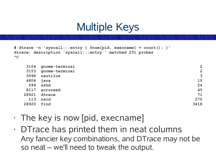## Multiple Keys

```
# dtrace -n 'syscall:::entry { @num[pid, execname] = count(); }'
dtrace: description 'syscall:::entry ' matched 231 probes
\wedgeC
```

|       | 3104<br>gnome-terminal | $\overline{2}$ |
|-------|------------------------|----------------|
|       | gnome-terminal<br>3153 | $\overline{2}$ |
|       | 3098<br>nautilus       | 3              |
|       | 4804<br>java           | 10             |
|       | 599<br>sshd            | 24             |
|       | 8117<br>acroread       | 45             |
| 28921 | dtrace                 | 71             |
|       | 113<br>nscd            | 270            |
| 28920 | find                   | 3418           |
|       |                        |                |

- The key is now [pid, execname]
- DTrace has printed them in neat columns Any fancier key combinations, and DTrace may not be so neat – we'll need to tweak the output.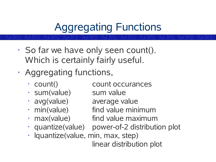# Aggregating Functions

- So far we have only seen count(). Which is certainly fairly useful.
- Aggregating functions,
	- count() count occurances
	- sum(value) sum value
	- avg(value) average value
	- min(value) find value minimum
	-
	-
	- max(value) find value maximum • quantize(value) power-of-2 distribution plot
	- lquantize(value, min, max, step)

linear distribution plot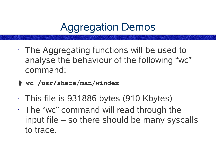## Aggregation Demos

- The Aggregating functions will be used to analyse the behaviour of the following "wc" command:
- **# wc /usr/share/man/windex**
- This file is 931886 bytes (910 Kbytes)
- The "wc" command will read through the input file – so there should be many syscalls to trace.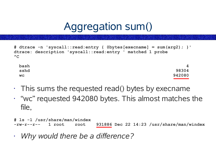## Aggregation sum()

```
# dtrace -n 'syscall::read:entry { @bytes[execname] = sum(arg2); }'
dtrace: description 'syscall::read:entry ' matched 1 probe
\wedgeC
```

| bash      | 4      |
|-----------|--------|
| sshd      | 98304  |
| <b>WC</b> | 942080 |

- $\cdot$  This sums the requested read() bytes by execname
- "wc" requested 942080 bytes. This almost matches the file,

| # 1s -1 /usr/share/man/windex |  |  |                                                                    |
|-------------------------------|--|--|--------------------------------------------------------------------|
|                               |  |  | $-rw-r--r--$ 1 root root 931886 Dec 22 14:23 /usr/share/man/windex |

• *Why would there be a difference?*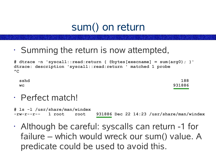## sum() on return

• Summing the return is now attempted,

**# dtrace -n 'syscall::read:return { @bytes[execname] = sum(arg0); }' dtrace: description 'syscall::read:return ' matched 1 probe**  $\wedge$ C

| sshd      | 188    |
|-----------|--------|
| <b>WC</b> | 931886 |

• Perfect match!

**# ls -l /usr/share/man/windex -rw-r--r-- 1 root root 931886 Dec 22 14:23 /usr/share/man/windex**

• Although be careful: syscalls can return -1 for failure – which would wreck our sum() value. A predicate could be used to avoid this.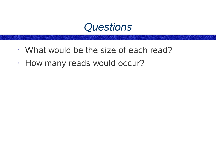

- What would be the size of each read?
- How many reads would occur?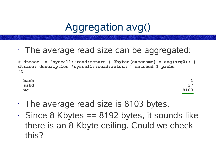## Aggregation avg()

• The average read size can be aggregated:

**# dtrace -n 'syscall::read:return { @bytes[execname] = avg(arg0); }' dtrace: description 'syscall::read:return ' matched 1 probe**  $\wedge$ C

| bash      | $\mathbf 1$<br>ᆂ |
|-----------|------------------|
| sshd      | 37               |
| <b>WC</b> | 8103             |

- The average read size is 8103 bytes.
- $\cdot$  Since 8 Kbytes == 8192 bytes, it sounds like there is an 8 Kbyte ceiling. Could we check this?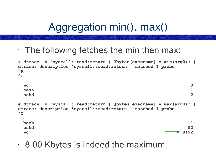Aggregation min(), max()

 $\cdot$  The following fetches the min then max:

```
# dtrace -n 'syscall::read:return { @bytes[execname] = min(arg0); }'
dtrace: description 'syscall::read:return ' matched 1 probe
^R
\wedgeC
 wc 0
 bash 1
 sshd 2
# dtrace -n 'syscall::read:return { @bytes[execname] = max(arg0); }'
dtrace: description 'syscall::read:return ' matched 1 probe
\wedgeC
 bash 1
 sshd 52
 wc 8192
```
• 8.00 Kbytes is indeed the maximum.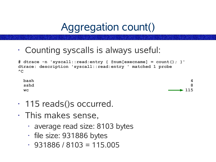## Aggregation count()

• Counting syscalls is always useful:

**# dtrace -n 'syscall::read:entry { @num[execname] = count(); }' dtrace: description 'syscall::read:entry ' matched 1 probe**  $\wedge$ C



- 115 reads()s occurred.
- This makes sense,
	- average read size: 8103 bytes
	- file size: 931886 bytes
	- $\cdot$  931886 / 8103 = 115.005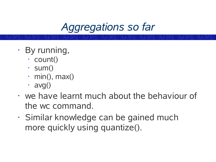*Aggregations so far*

- By running,
	- count()
	- $\cdot$  sum()
	- $\cdot$  min(), max()
	- $\cdot$  avg()
- we have learnt much about the behaviour of the wc command.
- Similar knowledge can be gained much more quickly using quantize().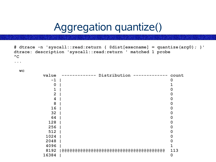## Aggregation quantize()

**# dtrace -n 'syscall::read:return { @dist[execname] = quantize(arg0); }' dtrace: description 'syscall::read:return ' matched 1 probe**  $^{\wedge}C$ 

**wc**

**...**

| value          | Distribution | count |
|----------------|--------------|-------|
| $-1$           |              | 0     |
| O              |              |       |
| 1              |              | 0     |
| $\overline{2}$ |              | 0     |
| 4              |              | 0     |
| 8              |              | 0     |
| 16             |              | 0     |
| 32             |              | 0     |
| 64             |              | 0     |
| 128            |              | 0     |
| 256            |              | 0     |
| 512            |              | 0     |
| 1024           |              | O     |
| 2048           |              | O     |
| 4096           |              |       |
| 8192           |              | 113   |
| 16384          |              | 0     |
|                |              |       |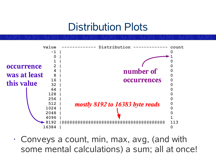### Distribution Plots



• Conveys a count, min, max, avg, (and with some mental calculations) a sum; all at once!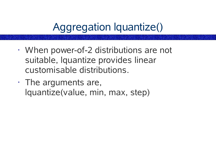# Aggregation lquantize()

- When power-of-2 distributions are not suitable, lquantize provides linear customisable distributions.
- The arguments are, lquantize(value, min, max, step)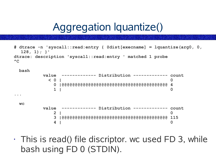## Aggregation lquantize()

```
# dtrace -n 'syscall::read:entry { @dist[execname] = lquantize(arg0, 0,
  128, 1); }'
dtrace: description 'syscall::read:entry ' matched 1 probe
\wedgeC
```

```
bash
```
**...**

**value ------------- Distribution ------------- count < 0 | 0 0 |@@@@@@@@@@@@@@@@@@@@@@@@@@@@@@@@@@@@@@@@ 4 1 | 0 wc value ------------- Distribution ------------- count 2 | 0**

**3 |@@@@@@@@@@@@@@@@@@@@@@@@@@@@@@@@@@@@@@@@ 115 4 | 0**

 $\cdot$  This is read() file discriptor. wc used FD 3, while bash using FD 0 (STDIN).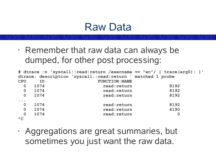#### Raw Data

• Remember that raw data can always be dumped, for other post processing:

|                                   |                |      |                                                             | # dtrace -n 'syscall::read:return /execname == "wc"/ { trace (arg0) ; } ' |
|-----------------------------------|----------------|------|-------------------------------------------------------------|---------------------------------------------------------------------------|
|                                   |                |      | dtrace: description 'syscall::read:return ' matched 1 probe |                                                                           |
| <b>CPU</b>                        |                | ID   | <b>FUNCTION: NAME</b>                                       |                                                                           |
|                                   | $\mathbf 0$    | 1074 | read: return                                                | 8192                                                                      |
|                                   | $\overline{0}$ | 1074 | read: return                                                | 8192                                                                      |
|                                   | $\mathbf 0$    | 1074 | read: return                                                | 8192                                                                      |
| $\bullet\quad\bullet\quad\bullet$ |                |      |                                                             |                                                                           |
|                                   | $\overline{0}$ | 1074 | read: return                                                | 8192                                                                      |
|                                   | $\mathbf 0$    | 1074 | read: return                                                | 6190                                                                      |
|                                   | $\mathbf{0}$   | 1074 | read: return                                                | $\bf{0}$                                                                  |
| $^{\wedge}C$                      |                |      |                                                             |                                                                           |

• Aggregations are great summaries, but sometimes you just want the raw data.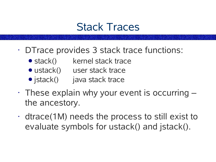### Stack Traces

- DTrace provides 3 stack trace functions:
	- stack() kernel stack trace
	- ustack() user stack trace
	- jstack() java stack trace
- $\cdot$  These explain why your event is occurring  $$ the ancestory.
- dtrace(1M) needs the process to still exist to evaluate symbols for ustack() and jstack().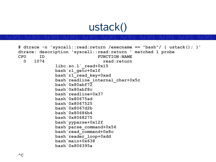## ustack()

```
# dtrace -n 'syscall::read:return /execname == "bash"/ { ustack(); }'
dtrace: description 'syscall::read:return ' matched 1 probe
CPU ID FUNCTION:NAME
 0 1074 read:return
             libc.so.1`_read+0x15
            bash`rl_getc+0x1f
             bash`rl_read_key+0xad
             bash`readline_internal_char+0x5c
             bash`0x80abf72
             bash`0x80abf8c
            bash`readline+0x37
            bash`0x80675ad
            bash`0x8067525
             bash`0x8067d2b
             bash`0x80686b4
             bash`0x8068275
             bash`yyparse+0x12f
             bash`parse_command+0x56
             bash`read_command+0x8c
             bash`reader_loop+0xdd
             bash`main+0x638
             bash`0x806395a
```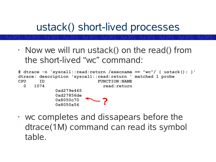## ustack() short-lived processes

• Now we will run ustack() on the read() from the short-lived "wc" command:

|             |      | # dtrace -n 'syscall::read:return /execname == "wc"/ { ustack(); }' |  |
|-------------|------|---------------------------------------------------------------------|--|
|             |      | dtrace: description 'syscall::read:return ' matched 1 probe         |  |
| <b>CPU</b>  | ID   | <b>FUNCTION: NAME</b>                                               |  |
| $\mathbf 0$ | 1074 | read: return                                                        |  |
|             |      | 0xd279e465                                                          |  |
|             |      | 0xd27856de                                                          |  |
|             |      | $\sim$<br>0x8050c70                                                 |  |
|             |      | 0x8050a56                                                           |  |

• wc completes and dissapears before the dtrace(1M) command can read its symbol table.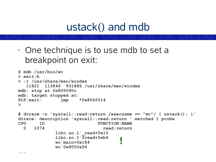## ustack() and mdb

• One technique is to use mdb to set a breakpoint on exit:

**...**

```
$ mdb /usr/bin/wc
> exit:b
> :r /usr/share/man/windex
  11821 113846 931886 /usr/share/man/windex
mdb: stop at 0x805090c
mdb: target stopped at:
PLT:exit: jmp *0x8062014
>
# dtrace -n 'syscall::read:return /execname == "wc"/ { ustack(); }'
dtrace: description 'syscall::read:return ' matched 1 probe
CPU ID FUNCTION:NAME
 0 1074 read:return
            libc.so.1`_read+0x15
            libc.so.1`fread+0xb6
            wc`main+0x184
            wc`0x8050a56
                                  !
```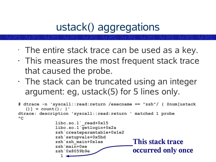## ustack() aggregations

- $\cdot$  The entire stack trace can be used as a key.
- This measures the most frequent stack trace that caused the probe.
- $\cdot$  The stack can be truncated using an integer argument: eg, ustack(5) for 5 lines only.

```
# dtrace -n 'syscall::read:return /execname == "zsh"/ { @num[ustack
   ()] = count(); }'
dtrace: description 'syscall::read:return ' matched 1 probe
AClibc.so.1`_read+0x15
              libc.so.1`getlogin+0x2a
              zsh`createparamtable+0x1e2
              zsh`setupvals+0x5bd
              zsh`zsh_main+0x1ae
              zsh`main+0xe
              zsh`0x8059b9e
                1
                                           This stack trace
                                           occurred only once
```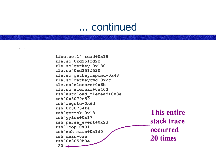#### ... continued

**...**

**libc.so.1`\_read+0x15 zle.so`0xd251fd22 zle.so`getkey+0x130 zle.so`0xd251f520 zle.so`getkeymapcmd+0x48 zle.so`getkeycmd+0x2c zle.so`zlecore+0x6b zle.so`zleread+0x403 zsh`autoload\_zleread+0x3e zsh`0x8079c59 zsh`ingetc+0x6d zsh`0x80734fa zsh`gettok+0x18 zsh`yylex+0x17 zsh`parse\_event+0x23 zsh`loop+0x91 zsh`zsh\_main+0x1d0 zsh`main+0xe zsh`0x8059b9e 20 This entire stack trace occurred 20 times**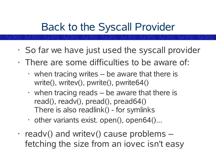## Back to the Syscall Provider

- So far we have just used the syscall provider
- $\cdot$  There are some difficulties to be aware of:
	- $\cdot$  when tracing writes be aware that there is write(), writev(), pwrite(), pwrite64()
	- $\cdot$  when tracing reads be aware that there is read(), readv(), pread(), pread64() There is also readlink() - for symlinks
	- $\cdot$  other variants exist. open(), open64()...
- $\cdot$  readv() and writev() cause problems  $$ fetching the size from an iovec isn't easy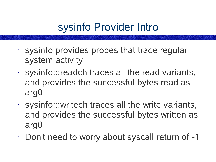## sysinfo Provider Intro

- sysinfo provides probes that trace regular system activity
- sysinfo:::readch traces all the read variants, and provides the successful bytes read as arg0
- sysinfo:::writech traces all the write variants, and provides the successful bytes written as arg0
- Don't need to worry about syscall return of -1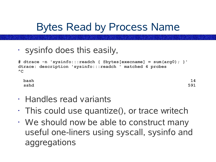## Bytes Read by Process Name

• sysinfo does this easily,

**# dtrace -n 'sysinfo:::readch { @bytes[execname] = sum(arg0); }' dtrace: description 'sysinfo:::readch ' matched 4 probes**  $\wedge$ C

**bash 14 sshd 591**

- Handles read variants
- $\cdot$  This could use quantize(), or trace writech
- We should now be able to construct many useful one-liners using syscall, sysinfo and aggregations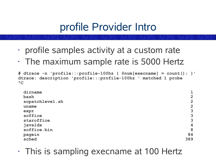## profile Provider Intro

- profile samples activity at a custom rate
- The maximum sample rate is 5000 Hertz

**# dtrace -n 'profile:::profile-100hz { @num[execname] = count(); }' dtrace: description 'profile:::profile-100hz ' matched 1 probe**  $\wedge$ C

| dirname         |                         |
|-----------------|-------------------------|
| bash            | $\overline{2}$          |
| sopatchlevel.sh | $\overline{2}$          |
| uname           | $\overline{2}$          |
| expr            | 3                       |
| soffice         | 3                       |
| staroffice      | 3                       |
| javaldx         | $\overline{\mathbf{4}}$ |
| soffice.bin     | 8                       |
| pagein          | 84                      |
| sched           | 389                     |

• This is sampling execname at 100 Hertz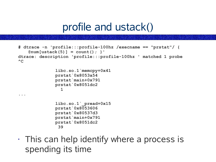#### profile and ustack()

```
# dtrace -n 'profile:::profile-100hz /execname == "prstat"/ {
   @num[ustack(5)] = count(); }'
dtrace: description 'profile:::profile-100hz ' matched 1 probe
AC
```

```
libc.so.1`memcpy+0x41
prstat`0x8053a54
prstat`main+0x791
prstat`0x8051dc2
  1
libc.so.1`_pread+0x15
prstat`0x8053606
prstat`0x80537d3
prstat`main+0x791
prstat`0x8051dc2
```
**39**

**...**

• This can help identify where a process is spending its time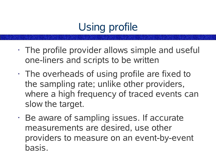# Using profile

- The profile provider allows simple and useful one-liners and scripts to be written
- The overheads of using profile are fixed to the sampling rate; unlike other providers, where a high frequency of traced events can slow the target.
- Be aware of sampling issues. If accurate measurements are desired, use other providers to measure on an event-by-event basis.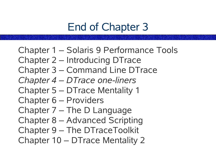## End of Chapter 3

Chapter 1 – Solaris 9 Performance Tools Chapter 2 – Introducing DTrace Chapter 3 – Command Line DTrace *Chapter 4 – DTrace one-liners* Chapter 5 – DTrace Mentality 1 Chapter 6 – Providers Chapter 7 – The D Language Chapter 8 – Advanced Scripting Chapter 9 – The DTraceToolkit Chapter 10 – DTrace Mentality 2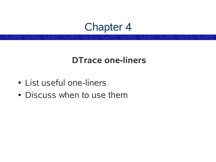#### Chapter 4

#### **DTrace one-liners**

- List useful one-liners
- Discuss when to use them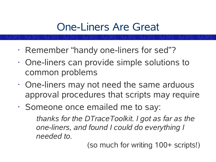## One-Liners Are Great

- Remember "handy one-liners for sed"?
- One-liners can provide simple solutions to common problems
- One-liners may not need the same arduous approval procedures that scripts may require
- Someone once emailed me to say:

*thanks for the DTraceToolkit. I got as far as the one-liners, and found I could do everything I needed to.*

(so much for writing 100+ scripts!)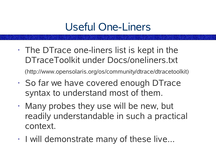## Useful One-Liners

 $\cdot$  The DT race one-liners list is kept in the DTraceToolkit under Docs/oneliners.txt

(http://www.opensolaris.org/os/community/dtrace/dtracetoolkit)

- So far we have covered enough DTrace syntax to understand most of them.
- Many probes they use will be new, but readily understandable in such a practical context.
- I will demonstrate many of these live...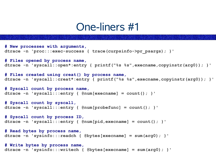#### One-liners #1

```
# New processes with arguments,
dtrace -n 'proc:::exec-success { trace(curpsinfo->pr_psargs); }'
# Files opened by process name,
dtrace -n 'syscall::open*:entry { printf("%s %s",execname,copyinstr(arg0)); }'
# Files created using creat() by process name,
dtrace -n 'syscall::creat*:entry { printf("%s %s",execname,copyinstr(arg0)); }'
# Syscall count by process name,
dtrace -n 'syscall:::entry { @num[execname] = count(); }'
# Syscall count by syscall,
dtrace -n 'syscall:::entry { @num[probefunc] = count(); }'
# Syscall count by process ID,
dtrace -n 'syscall:::entry { @num[pid,execname] = count(); }'
# Read bytes by process name,
dtrace -n 'sysinfo:::readch { @bytes[execname] = sum(arg0); }'
# Write bytes by process name,
dtrace -n 'sysinfo:::writech { @bytes[execname] = sum(arg0); }'
```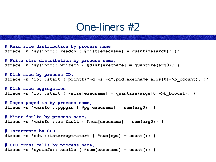#### One-liners #2

```
# Read size distribution by process name,
dtrace -n 'sysinfo:::readch { @dist[execname] = quantize(arg0); }'
# Write size distribution by process name,
dtrace -n 'sysinfo:::writech { @dist[execname] = quantize(arg0); }'
# Disk size by process ID,
dtrace -n 'io:::start { printf("%d %s %d",pid,execname,args[0]->b_bcount); }'
# Disk size aggregation
dtrace -n 'io:::start { @size[execname] = quantize(args[0]->b_bcount); }'
# Pages paged in by process name,
dtrace -n 'vminfo:::pgpgin { @pg[execname] = sum(arg0); }'
# Minor faults by process name,
dtrace -n 'vminfo:::as_fault { @mem[execname] = sum(arg0); }'
# Interrupts by CPU,
dtrace -n 'sdt:::interrupt-start { @num[cpu] = count(); }'
# CPU cross calls by process name,
dtrace -n 'sysinfo:::xcalls { @num[execname] = count(); }'
```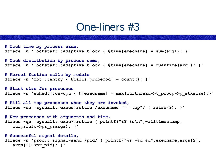#### One-liners #3

```
# Lock time by process name,
dtrace -n 'lockstat:::adaptive-block { @time[execname] = sum(arg1); }'
# Lock distribution by process name,
dtrace -n 'lockstat:::adaptive-block { @time[execname] = quantize(arg1); }'
# Kernel funtion calls by module
dtrace -n 'fbt:::entry { @calls[probemod] = count(); }'
# Stack size for processes
dtrace -n 'sched:::on-cpu { @[execname] = max(curthread->t_procp->p_stksize);}'
# Kill all top processes when they are invoked,
dtrace -wn 'syscall::exece:return /execname == "top"/ { raise(9); }'
# New processes with arguments and time,
dtrace -qn 'syscall::exec*:return { printf("%Y %s\n",walltimestamp,
   curpsinfo->pr_psargs); }'
# Successful signal details,
dtrace -n 'proc:::signal-send /pid/ { printf("%s -%d %d",execname,args[2],
   args[1]->pr_pid); }'
```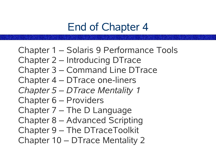## End of Chapter 4

Chapter 1 – Solaris 9 Performance Tools Chapter 2 – Introducing DTrace Chapter 3 – Command Line DTrace Chapter 4 – DTrace one-liners *Chapter 5 – DTrace Mentality 1* Chapter 6 – Providers Chapter 7 – The D Language Chapter 8 – Advanced Scripting Chapter 9 – The DTraceToolkit Chapter 10 – DTrace Mentality 2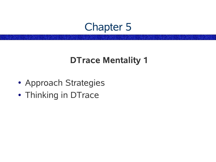#### Chapter 5

#### **DTrace Mentality 1**

- Approach Strategies
- Thinking in DTrace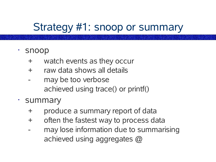### Strategy #1: snoop or summary

- snoop
	- + watch events as they occur
	- + raw data shows all details
	- may be too verbose achieved using trace() or printf()
- summary
	- + produce a summary report of data
	- + often the fastest way to process data
	- may lose information due to summarising achieved using aggregates @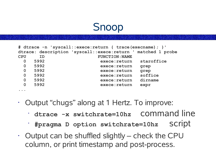#### Snoop

|                |           | # dtrace -n 'syscall::exece:return { trace(execname) ; }'    |            |
|----------------|-----------|--------------------------------------------------------------|------------|
|                |           | dtrace: description 'syscall::exece:return ' matched 1 probe |            |
| <b>CPU</b>     | <b>ID</b> | <b>FUNCTION: NAME</b>                                        |            |
| $\mathbf 0$    | 5992      | exece: return                                                | staroffice |
| $\mathbf 0$    | 5992      | exece: return                                                | grep       |
| $\mathbf 0$    | 5992      | exece: return                                                | qrep       |
| $\mathbf 0$    | 5992      | exece: return                                                | soffice    |
| $\overline{0}$ | 5992      | exece: return                                                | dirname    |
| $\mathbf 0$    | 5992      | exece: return                                                | expr       |
| $\cdots$       |           |                                                              |            |

- Output "chugs" along at 1 Hertz. To improve:
	- **dtrace -x switchrate=10hz** command line
	- **#pragma D option switchrate=10hz** script
- $\cdot$  Output can be shuffled slightly check the CPU column, or print timestamp and post-process.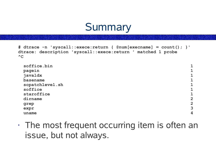

```
# dtrace -n 'syscall::exece:return { @num[execname] = count(); }'
dtrace: description 'syscall::exece:return ' matched 1 probe
^{\wedge}C
```

| soffice.bin     |                         |
|-----------------|-------------------------|
| pagein          |                         |
| javaldx         |                         |
| basename        |                         |
| sopatchlevel.sh |                         |
| soffice         |                         |
| staroffice      |                         |
| dirname         | $\overline{2}$          |
| grep            | $\overline{2}$          |
| expr            | 3                       |
| uname           | $\overline{\mathbf{4}}$ |

 $\cdot$  The most frequent occurring item is often an issue, but not always.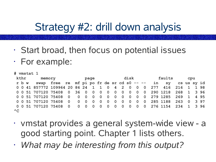## Strategy #2: drill down analysis

- Start broad, then focus on potential issues
- For example:

| # vmstat 1     |       |  |                                                                  |                                                              |  |  |  |      |  |  |  |        |  |  |     |  |  |  |  |     |
|----------------|-------|--|------------------------------------------------------------------|--------------------------------------------------------------|--|--|--|------|--|--|--|--------|--|--|-----|--|--|--|--|-----|
| kthr<br>memory |       |  |                                                                  | page                                                         |  |  |  | disk |  |  |  | faults |  |  | cpu |  |  |  |  |     |
|                | r b w |  |                                                                  | swap free re mf pi po fr de sr cd s0 -- -- in sy cs us sy id |  |  |  |      |  |  |  |        |  |  |     |  |  |  |  |     |
|                |       |  | 0 0 41 857772 109964 20 86 24 1 1 0 4 2 0 0 0 277 416 216 1 1 98 |                                                              |  |  |  |      |  |  |  |        |  |  |     |  |  |  |  |     |
|                |       |  | 0 0 51 707120 75408 0 36 0 0 0 0 0 0 0 0 0 0 290 1218 268 1 3 96 |                                                              |  |  |  |      |  |  |  |        |  |  |     |  |  |  |  |     |
|                |       |  | 0 0 51 707120 75408 0 0 0 0 0 0 0 0 0 0 0 0 0 279 1285 269 1     |                                                              |  |  |  |      |  |  |  |        |  |  |     |  |  |  |  | 495 |
|                |       |  | 0 0 51 707120 75408 0 0 0 0 0 0 0 0 0 0 0 0 285 1188 263 0       |                                                              |  |  |  |      |  |  |  |        |  |  |     |  |  |  |  | 397 |
|                |       |  | 0 0 51 707120 75408 0 0 0 0 0 0 0 0 0 0 0 0 276 1154 234 1 3 96  |                                                              |  |  |  |      |  |  |  |        |  |  |     |  |  |  |  |     |
| $^{\wedge}C$   |       |  |                                                                  |                                                              |  |  |  |      |  |  |  |        |  |  |     |  |  |  |  |     |

- vmstat provides a general system-wide view a good starting point. Chapter 1 lists others.
- *What may be interesting from this output?*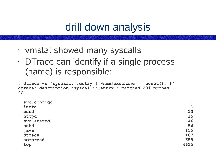- vmstat showed many syscalls
- DTrace can identify if a single process (name) is responsible:

```
# dtrace -n 'syscall:::entry { @num[execname] = count(); }'
dtrace: description 'syscall:::entry ' matched 231 probes
^{\wedge}C
```

| svc.configd |              |
|-------------|--------------|
| inetd       | $\mathbf{1}$ |
| nscd        | 13           |
| httpd       | 15           |
| svc.startd  | 46           |
| sshd        | 56           |
| java        | 155          |
| dtrace      | 167          |
| acroread    | 659          |
| top         | 4615         |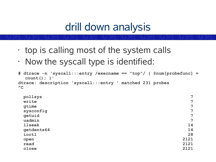- $\cdot$  top is calling most of the system calls
- Now the syscall type is identified:

```
# dtrace -n 'syscall:::entry /execname == "top"/ { @num[probefunc] =
  count(); }'
dtrace: description 'syscall:::entry ' matched 231 probes
AC
```

| pollsys       | $\overline{7}$ |
|---------------|----------------|
| write         | $\overline{7}$ |
| gtime         | $\overline{7}$ |
| sysconfig     | $\overline{7}$ |
| getuid        | $\overline{7}$ |
| uadmin        | 7              |
| <b>llseek</b> | 14             |
| getdents64    | 14             |
| ioctl         | 28             |
| open          | 2121           |
| read          | 2121           |
| close         | 2121           |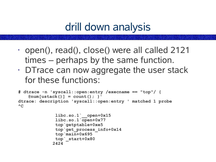- open(), read(), close() were all called 2121 times – perhaps by the same function.
- $\cdot$  DT race can now aggregate the user stack for these functions:

```
# dtrace -n 'syscall::open:entry /execname == "top"/ {
   @num[ustack()] = count(); }'
dtrace: description 'syscall::open:entry ' matched 1 probe
\wedgeC
```

```
libc.so.1`__open+0x15
 libc.so.1`open+0x77
 top`getptable+0xe5
 top`get_process_info+0x14
 top`main+0x695
top`_start+0x80
2424
```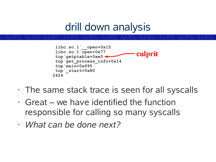

- The same stack trace is seen for all syscalls
- $\cdot$  Great we have identified the function responsible for calling so many syscalls
- *What can be done next?*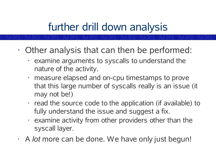## further drill down analysis

- Other analysis that can then be performed:
	- $\cdot$  examine arguments to syscalls to understand the nature of the activity.
	- measure elapsed and on-cpu timestamps to prove that this large number of syscalls really is an issue (it may not be!)
	- $\cdot$  read the source code to the application (if available) to fully understand the issue and suggest a fix.
	- $\cdot$  examine activity from other providers other than the syscall layer.
- A *lot* more can be done. We have only just begun!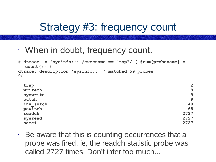### Strategy #3: frequency count

• When in doubt, frequency count.

```
# dtrace -n 'sysinfo::: /execname == "top"/ { @num[probename] =
 count(); }'
dtrace: description 'sysinfo::: ' matched 59 probes
\wedgeC
trap 2
writech 9
syswrite 9
outch 9
inv_swtch 48
pswitch 68
```

```
readch 2727
sysread 2727
namei 2727
```
 $\cdot$  Be aware that this is counting occurrences that a probe was fired. ie, the readch statistic probe was called 2727 times. Don't infer too much...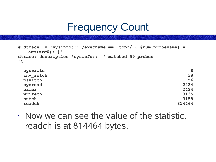#### Frequency Count

```
# dtrace -n 'sysinfo::: /execname == "top"/ { @num[probename] =
   sum(arg0); }'
dtrace: description 'sysinfo::: ' matched 59 probes
AC
```

| syswrite  | 8      |
|-----------|--------|
| inv swtch | 38     |
| pswitch   | 56     |
| sysread   | 2424   |
| namei     | 2424   |
| writech   | 3135   |
| outch     | 3158   |
| readch    | 814464 |

• Now we can see the value of the statistic. readch is at 814464 bytes.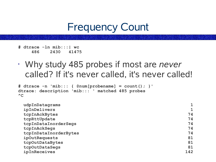#### Frequency Count

```
# dtrace -ln mib:::| wc
    486 2430 41475
```
• Why study 485 probes if most are *never* called? If it's never called, it's never called!

```
# dtrace -n 'mib::: { @num[probename] = count(); }'
dtrace: description 'mib::: ' matched 485 probes
\wedgeC
```

| udpInDatagrams        |     |
|-----------------------|-----|
| ipInDelivers          |     |
| tcpInAckBytes         | 74  |
| tcpRttUpdate          | 74  |
| tcpInDataInorderSegs  | 74  |
| tcpInAckSegs          | 74  |
| tcpInDataInorderBytes | 74  |
| ipOutRequests         | 81  |
| tcpOutDataBytes       | 81  |
| tcpOutDataSegs        | 81  |
| ipInReceives          | 142 |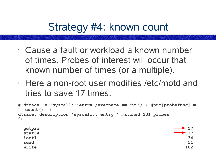## Strategy #4: known count

- Cause a fault or workload a known number of times. Probes of interest will occur that known number of times (or a multiple).
- Here a non-root user modifies /etc/motd and tries to save 17 times:

```
# dtrace -n 'syscall:::entry /execname == "vi"/ { @num[probefunc] =
  count(); }'
dtrace: description 'syscall:::entry ' matched 231 probes
\wedgeC
 getpid 17
```
**stat64 17 ioctl 34 read 51 write 102**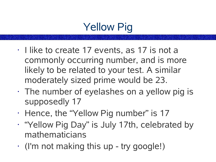# Yellow Pig

- I like to create 17 events, as 17 is not a commonly occurring number, and is more likely to be related to your test. A similar moderately sized prime would be 23.
- $\cdot$  The number of eyelashes on a yellow pig is supposedly 17
- Hence, the "Yellow Pig number" is 17
- "Yellow Pig Day" is July 17th, celebrated by mathematicians
- (I'm not making this up try google!)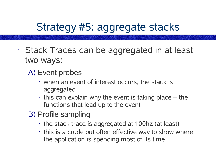## Strategy #5: aggregate stacks

- Stack Traces can be aggregated in at least two ways:
	- A) Event probes
		- $\cdot$  when an event of interest occurs, the stack is aggregated
		- this can explain why the event is taking place the functions that lead up to the event
	- B) Profile sampling
		- the stack trace is aggregated at 100hz (at least)
		- $\cdot$  this is a crude but often effective way to show where the application is spending most of its time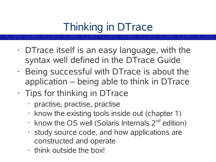# Thinking in DTrace

- $\cdot$  DT race itself is an easy language, with the syntax well defined in the DTrace Guide
- Being successful with DTrace is about the application – being able to think in DTrace
- Tips for thinking in DTrace
	- practise, practise, practise
	- $\cdot$  know the existing tools inside out (chapter 1)
	- $\cdot$  know the OS well (Solaris Internals 2<sup>nd</sup> edition)
	- study source code, and how applications are constructed and operate
	- think outside the box!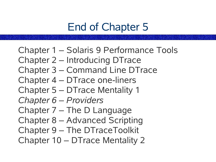## End of Chapter 5

Chapter 1 – Solaris 9 Performance Tools Chapter 2 – Introducing DTrace Chapter 3 – Command Line DTrace Chapter 4 – DTrace one-liners Chapter 5 – DTrace Mentality 1 *Chapter 6 – Providers* Chapter 7 – The D Language Chapter 8 – Advanced Scripting Chapter 9 – The DTraceToolkit Chapter 10 – DTrace Mentality 2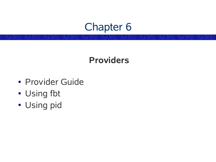#### Chapter 6

#### **Providers**

- Provider Guide
- Using fbt
- Using pid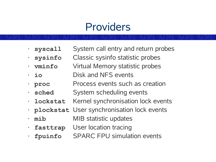#### Providers

- **syscall** System call entry and return probes
- **sysinfo** Classic sysinfo statistic probes
- **vminfo** Virtual Memory statistic probes
- **io** Disk and NFS events
- **proc** Process events such as creation
- **sched** System scheduling events
- **lockstat** Kernel synchronisation lock events
- **plockstat** User synchronisation lock events
- **mib** MIB statistic updates
- **fasttrap** User location tracing
- **fpuinfo** SPARC FPU simulation events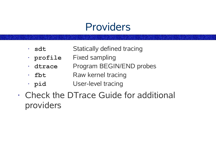#### Providers

- **sdt** Statically defined tracing
- **profile** Fixed sampling
- **dtrace** Program BEGIN/END probes
- **fbt** Raw kernel tracing
- **pid** User-level tracing
- Check the DTrace Guide for additional providers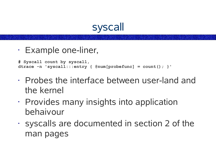

```
• Example one-liner,
```

```
# Syscall count by syscall,
dtrace -n 'syscall:::entry { @num[probefunc] = count(); }'
```
- Probes the interface between user-land and the kernel
- Provides many insights into application behaivour
- syscalls are documented in section 2 of the man pages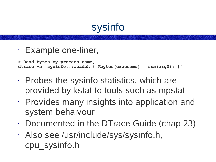

• Example one-liner,

**# Read bytes by process name, dtrace -n 'sysinfo:::readch { @bytes[execname] = sum(arg0); }'**

- $\cdot$  Probes the sysinfo statistics, which are provided by kstat to tools such as mpstat
- Provides many insights into application and system behaivour
- Documented in the DTrace Guide (chap 23)
- Also see /usr/include/sys/sysinfo.h, cpu\_sysinfo.h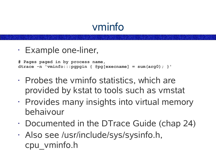#### vminfo

• Example one-liner,

```
# Pages paged in by process name,
dtrace -n 'vminfo:::pgpgin { @pg[execname] = sum(arg0); }'
```
- $\cdot$  Probes the vminfo statistics, which are provided by kstat to tools such as vmstat
- Provides many insights into virtual memory behaivour
- Documented in the DTrace Guide (chap 24)
- Also see /usr/include/sys/sysinfo.h, cpu\_vminfo.h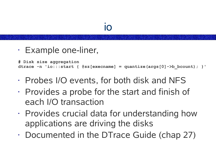```
• Example one-liner,
```

```
# Disk size aggregation
dtrace -n 'io:::start { @sz[execname] = quantize(args[0]->b_bcount); }'
```
- Probes I/O events, for both disk and NFS
- $\cdot$  Provides a probe for the start and finish of each I/O transaction
- Provides crucial data for understanding how applications are driving the disks
- Documented in the DTrace Guide (chap 27)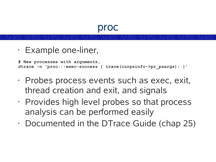#### proc

```
• Example one-liner,
```

```
# New processes with arguments,
dtrace -n 'proc:::exec-success { trace(curpsinfo->pr_psargs); }'
```
- Probes process events such as exec, exit, thread creation and exit, and signals
- Provides high level probes so that process analysis can be performed easily
- Documented in the DTrace Guide (chap 25)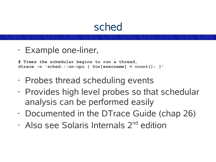#### sched

```
• Example one-liner,
```

```
# Times the schedular begins to run a thread,
dtrace -n 'sched:::on-cpu { @on[execname] = count(); }'
```
- Probes thread scheduling events
- Provides high level probes so that schedular analysis can be performed easily
- Documented in the DTrace Guide (chap 26)
- · Also see Solaris Internals 2<sup>nd</sup> edition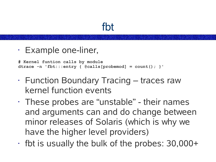### fbt

```
• Example one-liner,
```

```
# Kernel funtion calls by module
dtrace -n 'fbt:::entry { @calls[probemod] = count(); }'
```
- Function Boundary Tracing traces raw kernel function events
- $\cdot$  These probes are "unstable" their names and arguments can and do change between minor releases of Solaris (which is why we have the higher level providers)
- $\cdot$  fbt is usually the bulk of the probes: 30,000+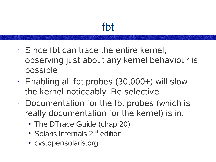## fbt

- Since fbt can trace the entire kernel, observing just about any kernel behaviour is possible
- Enabling all fbt probes (30,000+) will slow the kernel noticeably. Be selective
- Documentation for the fbt probes (which is really documentation for the kernel) is in:
	- The DTrace Guide (chap 20)
	- Solaris Internals 2<sup>nd</sup> edition
	- cvs.opensolaris.org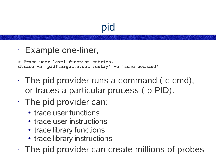# pid

```
• Example one-liner,
```

```
# Trace user-level function entries,
dtrace -n 'pid$target:a.out::entry' -c 'some_command'
```
- The pid provider runs a command (-c cmd), or traces a particular process (-p PID).
- The pid provider can:
	- trace user functions
	- trace user instructions
	- trace library functions
	- trace library instructions
- The pid provider can create millions of probes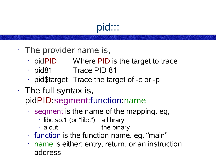- pid:::
- The provider name is,
	- $\cdot$  pidPID Where PID is the target to trace
	- pid81 Trace PID 81
	- $\cdot$  pid\$target Trace the target of -c or -p
- $\cdot$  The full syntax is, pidPID:segment:function:name
	- $\cdot$  segment is the name of the mapping. eg.
		- libc.so.1 (or "libc") a library
		- $\cdot$  a.out the binary
	- function is the function name. eg, "main"
	- name is either: entry, return, or an instruction address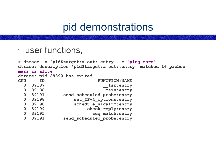• user functions,

```
# dtrace -n 'pid$target:a.out::entry' -c 'ping mars'
dtrace: description 'pid$target:a.out::entry' matched 16 probes
mars is alive
dtrace: pid 29890 has exited
CPU ID FUNCTION:NAME
 0 39187 __fsr:entry
 0 39188 main:entry
 0 39191 send_scheduled_probe:entry
                0 39198 set_IPv4_options:entry
 0 39190 schedule_sigalrm:entry
 0 39199 check_reply:entry
 0 39195 seq_match:entry
 0 39191 send_scheduled_probe:entry
```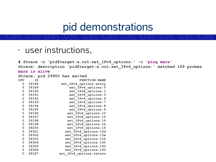• user instructions,

**# dtrace -n 'pid\$target:a.out:set\_IPv4\_options:' -c 'ping mars' dtrace: description 'pid\$target:a.out:set\_IPv4\_options:' matched 169 probes mars is alive dtrace: pid 29900 has exited CPU ID FUNCTION:NAME 39188 set\_IPv4\_options:entry 39189 set\_IPv4\_options:0 39190 set\_IPv4\_options:1 39191 set\_IPv4\_options:3 39192 set\_IPv4\_options:6 39193 set\_IPv4\_options:7 39194 set\_IPv4\_options:8 39195 set\_IPv4\_options:9 39196 set\_IPv4\_options:10 39197 set\_IPv4\_options:12 39198 set\_IPv4\_options:19 39199 set\_IPv4\_options:1b 39200 set\_IPv4\_options:1f 39301 set\_IPv4\_options:15d 39302 set\_IPv4\_options:15e 39303 set\_IPv4\_options:15f 39304 set\_IPv4\_options:160 39305 set\_IPv4\_options:162 39306 set\_IPv4\_options:163 39187 set\_IPv4\_options:return**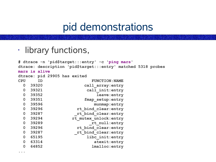```
•
  library functions,
```
**...**

```
# dtrace -n 'pid$target:::entry' -c 'ping mars'
dtrace: description 'pid$target:::entry' matched 5318 probes
mars is alive
dtrace: pid 29905 has exited
CPU ID FUNCTION:NAME
  0 39320 call_array:entry
  0 39321 call_init:entry
  0 39352 leave:entry
  0 39351 fmap_setup:entry
  0 39596 munmap:entry
  0 39296 rt_bind_clear:entry
  0 39287 _rt_bind_clear:entry
  0 39294 rt_mutex_unlock:entry
  0 39289 _rt_null:entry
  0 39296 rt_bind_clear:entry
  0 39287 _rt_bind_clear:entry
  0 65195 libc_init:entry
  0 63314 atexit:entry
  0 64852 lmalloc:entry
```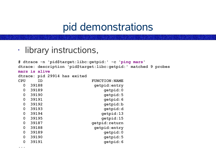• library instructions,

```
# dtrace -n 'pid$target:libc:getpid:' -c 'ping mars'
dtrace: description 'pid$target:libc:getpid:' matched 9 probes
mars is alive
dtrace: pid 29914 has exited
CPU ID FUNCTION:NAME
  0 39188 getpid:entry
  0 39189 getpid:0
  0 39190 getpid:5
  0 39191 getpid:6
  0 39192 getpid:b
  0 39193 getpid:d
  0 39194 getpid:13
  0 39195 getpid:15
  0 39187 getpid:return
  0 39188 getpid:entry
  0 39189 getpid:0
  0 39190 getpid:5
  0 39191 getpid:6
```
**...**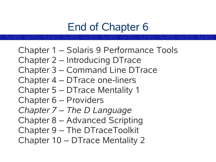# End of Chapter 6

Chapter 1 – Solaris 9 Performance Tools Chapter 2 – Introducing DTrace Chapter 3 – Command Line DTrace Chapter 4 – DTrace one-liners Chapter 5 – DTrace Mentality 1 Chapter 6 – Providers *Chapter 7 – The D Language* Chapter 8 – Advanced Scripting Chapter 9 – The DTraceToolkit Chapter 10 – DTrace Mentality 2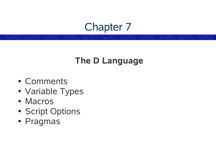### Chapter 7

#### **The D Language**

- Comments
- Variable Types
- Macros
- Script Options
- Pragmas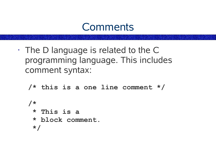#### **Comments**

• The D language is related to the C programming language. This includes comment syntax:

```
/* this is a one line comment */
/*
* This is a
* block comment.
*/
```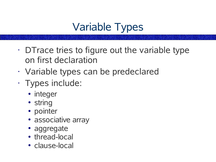# Variable Types

- DTrace tries to figure out the variable type on first declaration
- Variable types can be predeclared
- Types include:
	- integer
	- string
	- pointer
	- associative array
	- aggregate
	- thread-local
	- clause-local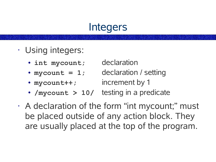## **Integers**

- Using integers:
	- int mycount; declaration
	- $mycount = 1$ ; declaration / setting
	-

- mycount++; increment by 1
- /mycount > 10/ testing in a predicate
- A declaration of the form "int mycount;" must be placed outside of any action block. They are usually placed at the top of the program.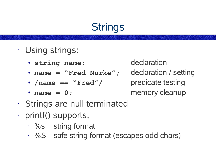# **Strings**

- Using strings:
	- **string name;** declaration
	- **name = "Fred Nurke";** declaration / setting
	- **/name == "Fred"/** predicate testing
	-

- name = 0; memory cleanup
- Strings are null terminated
- printf() supports,
	- %s string format
	- %S safe string format (escapes odd chars)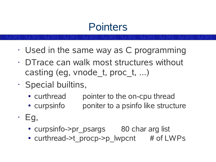## **Pointers**

- Used in the same way as C programming
- DTrace can walk most structures without casting (eg, vnode  $t$ , proc  $t, ...$ )
- Special builtins,
	- curthread pointer to the on-cpu thread
	- curpsinfo poniter to a psinfo like structure
- $\cdot$  Eg,
	- curpsinfo->pr psargs 80 char arg list
	- curthread->t procp->p lwpcnt # of LWPs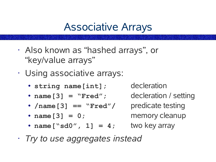### Associative Arrays

- Also known as "hashed arrays" , or "key/value arrays"
- Using associative arrays:
	- **string name[int];** decleration
	- name [3] = "Fred"; decleration / setting
	- **/name[3] == "Fred"/** predicate testing
	- **name** [3] = 0; memory cleanup
	- $name['sd0'', 1] = 4;$

- 
- 
- 
- **, 1] = 4;** two key array
- *Try to use aggregates instead*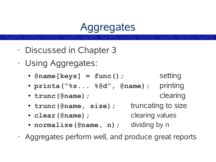## **Aggregates**

- Discussed in Chapter 3
- Using Aggregates:
	- $\bullet$  **@name[keys]** =  $func()$ ; setting
	- **printa("%s... %@d" , @name);** printing
	- **trunc(@name);** clearing
	- trunc (@name, size); truncating to size
	- **clear(@name);** clearing values
- - **normalize(@name, n);** dividing by n
- Aggregates perform well, and produce great reports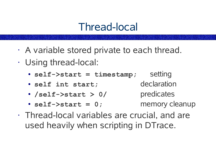## Thread-local

- A variable stored private to each thread.
- Using thread-local:
	- **self->start = timestamp;** setting
	- **self int start;** declaration
	- **/self->start > 0/** predicates
	- self->start = 0; memory cleanup
- Thread-local variables are crucial, and are used heavily when scripting in DTrace.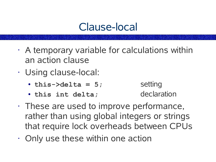## Clause-local

- A temporary variable for calculations within an action clause
- Using clause-local:
	- $\bullet$  **this->delta = 5;** setting
	- **this int delta;** declaration

- These are used to improve performance, rather than using global integers or strings that require lock overheads between CPUs
- Only use these within one action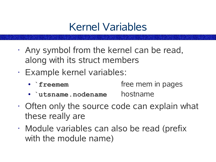## Kernel Variables

- Any symbol from the kernel can be read, along with its struct members
- Example kernel variables:
	- **`freemem** free mem in pages
	- **`utsname.nodename** hostname
- Often only the source code can explain what these really are
- Module variables can also be read (prefix with the module name)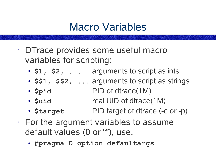## Macro Variables

- DTrace provides some useful macro variables for scripting:
	- **\$1, \$2, ...** arguments to script as ints
	- **\$\$1, \$\$2, ...** arguments to script as strings
	- **\$pid** PID of dtrace(1M)
	- **\$uid** real UID of dtrace(1M)
	- **\$target** PID target of dtrace (-c or -p)
- $\cdot$  For the argument variables to assume default values (0 or ""), use:
	- **#pragma D option defaultargs**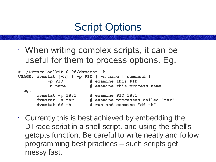# Script Options

• When writing complex scripts, it can be useful for them to process options. Eg:

| # ./DTraceToolkit-0.96/dvmstat -h |                                                    |  |  |                                  |
|-----------------------------------|----------------------------------------------------|--|--|----------------------------------|
|                                   | USAGE: dvmstat [-h] { -p PID   -n name   command } |  |  |                                  |
|                                   | -p PID                                             |  |  | # examine this PID               |
|                                   | -n name                                            |  |  | # examine this process name      |
| eg <sub>l</sub>                   |                                                    |  |  |                                  |
|                                   | dymstat $-p$ 1871                                  |  |  | # examine PID 1871               |
|                                   | dvmstat -n tar                                     |  |  | # examine processes called "tar" |
|                                   | dymstat df -h                                      |  |  | # run and examine "df -h"        |

 $\cdot$  Currently this is best achieved by embedding the DTrace script in a shell script, and using the shell's getopts function. Be careful to write neatly and follow programming best practices – such scripts get messy fast.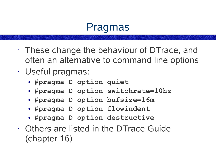### Pragmas

- These change the behaviour of DTrace, and often an alternative to command line options
- Useful pragmas:
	- **#pragma D option quiet**
	- **#pragma D option switchrate=10hz**
	- **#pragma D option bufsize=16m**
	- **#pragma D option flowindent**
	- **#pragma D option destructive**
- Others are listed in the DTrace Guide (chapter 16)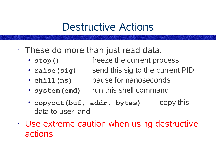### Destructive Actions

- These do more than just read data:
	- **stop()** freeze the current process
	- raise (sig) send this sig to the current PID
	- **chill(ns)** pause for nanoseconds
	- system (cmd) run this shell command
	- **copyout(buf, addr, bytes)** copy this data to user-land
- Use extreme caution when using destructive actions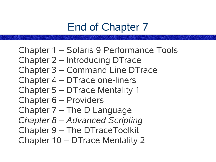# End of Chapter 7

Chapter 1 – Solaris 9 Performance Tools Chapter 2 – Introducing DTrace Chapter 3 – Command Line DTrace Chapter 4 – DTrace one-liners Chapter 5 – DTrace Mentality 1 Chapter 6 – Providers Chapter 7 – The D Language *Chapter 8 – Advanced Scripting* Chapter 9 – The DTraceToolkit Chapter 10 – DTrace Mentality 2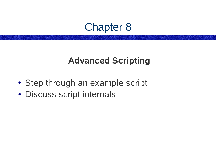#### Chapter 8

#### **Advanced Scripting**

- Step through an example script
- Discuss script internals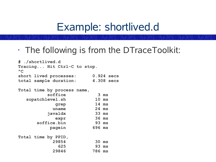### Example: shortlived.d

• The following is from the DTraceToolkit:

```
# ./shortlived.d
Tracing... Hit Ctrl-C to stop.
\wedgeC
short lived processes: 0.924 secs
total sample duration: 4.308 secs
Total time by process name,
        soffice 3 ms
  sopatchlevel.sh 10 ms
          grep 14 ms
         uname 24 ms
        javaldx 33 ms
          expr 36 ms
     soffice.bin 93 ms
        pagein 696 ms
Total time by PPID,
         29854 30 ms
           625 93 ms
         29846 786 ms
```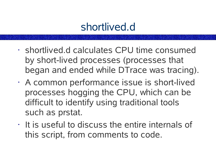- shortlived.d calculates CPU time consumed by short-lived processes (processes that began and ended while DTrace was tracing).
- A common performance issue is short-lived processes hogging the CPU, which can be difficult to identify using traditional tools such as prstat.
- $\cdot$  It is useful to discuss the entire internals of this script, from comments to code.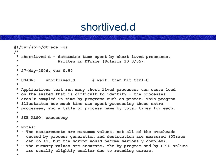```
#!/usr/sbin/dtrace -qs
/*
 * shortlived.d - determine time spent by short lived processes.
 * Written in DTrace (Solaris 10 3/05).
 *
 * 27-May-2006, ver 0.94
 *
 * USAGE: shortlived.d # wait, then hit Ctrl-C
 *
 * Applications that run many short lived processes can cause load
 * on the system that is difficult to identify - the processes
 * aren't sampled in time by programs such as prstat. This program
 * illustrates how much time was spent processing those extra
 * processes, and a table of process name by total times for each.
 *
 * SEE ALSO: execsnoop
 *
 * Notes:
 * - The measurements are minimum values, not all of the overheads
 * caused by process generation and destruction are measured (DTrace
 * can do so, but the script would become seriously complex).
 * - The summary values are accurate, the by program and by PPID values
 * are usually slightly smaller due to rounding errors.
 *
```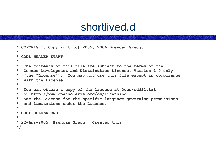```
* COPYRIGHT: Copyright (c) 2005, 2006 Brendan Gregg.
*
* CDDL HEADER START
*
* The contents of this file are subject to the terms of the
* Common Development and Distribution License, Version 1.0 only
* (the "License"). You may not use this file except in compliance
* with the License.
*
* You can obtain a copy of the license at Docs/cddl1.txt
* or http://www.opensolaris.org/os/licensing.
* See the License for the specific language governing permissions
* and limitations under the License.
*
* CDDL HEADER END
*
* 22-Apr-2005 Brendan Gregg Created this.
*/
```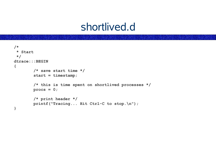```
/*
* Start
 */
dtrace:::BEGIN
{
         /* save start time */
         start = timestamp;
         /* this is time spent on shortlived processes */
         procs = 0;
         /* print header */
         printf("Tracing... Hit Ctrl-C to stop.\n");
}
```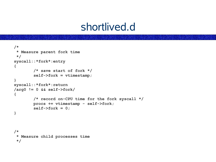```
/*
* Measure parent fork time
 */
syscall::*fork*:entry
{
         /* save start of fork */
         self->fork = vtimestamp;
}
syscall::*fork*:return
/arg0 != 0 && self->fork/
{
         /* record on-CPU time for the fork syscall */
         procs += vtimestamp - self->fork;
         self->fork = 0;
}
/*
 * Measure child processes time
```
**\*/**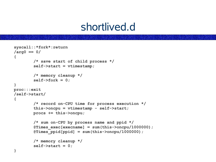```
syscall::*fork*:return
/arg0 == 0/
{
         /* save start of child process */
         self->start = vtimestamp;
         /* memory cleanup */
         self->fork = 0;
}
proc:::exit
/self->start/
{
         /* record on-CPU time for process execution */
         this->oncpu = vtimestamp - self->start;
         procs += this->oncpu;
         /* sum on-CPU by process name and ppid */
         @Times_exec[execname] = sum(this->oncpu/1000000);
         @Times_ppid[ppid] = sum(this->oncpu/1000000);
         /* memory cleanup */
         self->start = 0;
}
```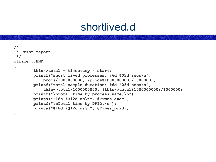```
/*
 * Print report
 */
dtrace:::END
{
         this->total = timestamp - start;
         printf("short lived processes: %6d.%03d secs\n",
             procs/1000000000, (procs%1000000000)/1000000);
         printf("total sample duration: %6d.%03d secs\n",
             this->total/1000000000, (this->total%1000000000)/1000000);
         printf("\nTotal time by process name,\n");
         printa("%18s %@12d ms\n", @Times_exec);
         printf("\nTotal time by PPID,\n");
         printa("%18d %@12d ms\n", @Times_ppid);
}
```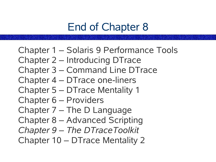# End of Chapter 8

- Chapter 1 Solaris 9 Performance Tools Chapter 2 – Introducing DTrace Chapter 3 – Command Line DTrace Chapter 4 – DTrace one-liners Chapter 5 – DTrace Mentality 1 Chapter 6 – Providers Chapter 7 – The D Language
- Chapter 8 Advanced Scripting
- *Chapter 9 – The DTraceToolkit*
- Chapter 10 DTrace Mentality 2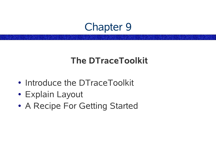### Chapter 9

#### **The DTraceToolkit**

- Introduce the DTraceToolkit
- Explain Layout
- A Recipe For Getting Started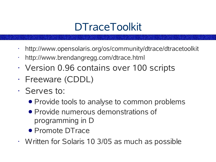# **DTraceToolkit**

- http://www.opensolaris.org/os/community/dtrace/dtracetoolkit
- http://www.brendangregg.com/dtrace.html
- Version 0.96 contains over 100 scripts
- Freeware (CDDL)
- Serves to:
	- Provide tools to analyse to common problems
	- Provide numerous demonstrations of programming in D
	- Promote DTrace
- Written for Solaris 10 3/05 as much as possible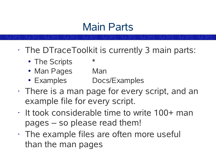## Main Parts

- The DTraceToolkit is currently 3 main parts:
	- The Scripts \*
	- Man Pages Man
	- Examples Docs/Examples
- There is a man page for every script, and an example file for every script.
- It took considerable time to write 100+ man pages – so please read them!
- The example files are often more useful than the man pages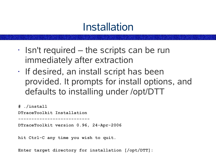## **Installation**

- Isn't required the scripts can be run immediately after extraction
- If desired, an install script has been provided. It prompts for install options, and defaults to installing under /opt/DTT

**# ./install**

**DTraceToolkit Installation**

**---------------------------**

**DTraceToolkit version 0.96, 24-Apr-2006**

**hit Ctrl-C any time you wish to quit.**

**Enter target directory for installation [/opt/DTT]:**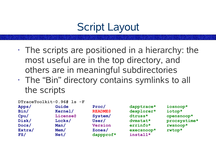# Script Layout

- $\cdot$  The scripts are positioned in a hierarchy: the most useful are in the top directory, and others are in meaningful subdirectories
- The "Bin" directory contains symlinks to all the scripts

**DTraceToolkit-0.96# ls -F Apps/ Guide Proc/ dapptrace\* iosnoop\* Bin/ Kernel/ README@ dexplorer\* iotop\* Cpu/ License@ System/ dtruss\* opensnoop\* Disk/ Locks/ User/ dvmstat\* procsystime\* Docs/ Man/ Version errinfo\* rwsnoop\* Extra/ Mem/ Zones/ execsnoop\* rwtop\* FS/ Net/ dappprof\* install\***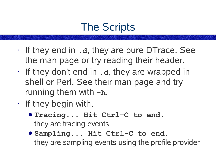# The Scripts

- If they end in **.d**, they are pure DTrace. See the man page or try reading their header.
- If they don't end in **.d**, they are wrapped in shell or Perl. See their man page and try running them with **-h**.
- If they begin with,
	- **Tracing... Hit Ctrl-C to end.** they are tracing events
	- **Sampling... Hit Ctrl-C to end.** they are sampling events using the profile provider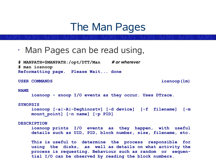## The Man Pages

• Man Pages can be read using,

**# MANPATH=\$MANPATH:/opt/DTT/Man** *# or wherever* **# man iosnoop Reformatting page. Please Wait... done**

**USER COMMANDS iosnoop(1m)**

### **NAME**

**iosnoop - snoop I/O events as they occur. Uses DTrace.**

#### **SYNOPSIS**

```
iosnoop [-a|-A|-Deghinostv] [-d device] [-f filename] [-m
mount_point] [-n name] [-p PID]
```
#### **DESCRIPTION**

**iosnoop prints I/O events as they happen, with useful details such as UID, PID, block number, size, filename, etc.**

**This is useful to determine the process responsible for using the disks, as well as details on what activity the process is requesting. Behaviour such as random or sequential I/O can be observed by reading the block numbers.**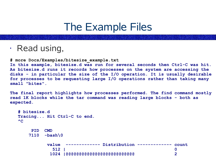## The Example Files

• Read using,

**# more Docs/Examples/bitesize\_example.txt**

**In this example, bitesize.d was run for several seconds then Ctrl-C was hit. As bitesize.d runs it records how processes on the system are accessing the disks - in particular the size of the I/O operation. It is usually desirable for processes to be requesting large I/O operations rather than taking many small "bites".**

**The final report highlights how processes performed. The find command mostly read 1K blocks while the tar command was reading large blocks - both as expected.**

```
# bitesize.d
Tracing... Hit Ctrl-C to end.
\LambdaC
   PID CMD
   7110 -bash\0
        value ------------- Distribution ------------- count
          512 | 0
         1024 |@@@@@@@@@@@@@@@@@@@@@@@@@@ 2
```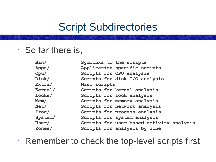## Script Subdirectories

• So far there is,

| Bin/    | Symlinks to the scripts                  |
|---------|------------------------------------------|
| Apps/   | Application specific scripts             |
| Cpu/    | Scripts for CPU analysis                 |
| Disk/   | Scripts for disk I/O analysis            |
| Extra/  | Misc scripts                             |
| Kernel/ | Scripts for kernel analysis              |
| Locks/  | Scripts for lock analysis                |
| Mem/    | Scripts for memory analysis              |
| Net/    | Scripts for network analysis             |
| Proc/   | Scripts for process analysis             |
| System/ | Scripts for system analysis              |
| User/   | Scripts for user based activity analysis |
| Zones/  | Scripts for analysis by zone             |

• Remember to check the top-level scripts first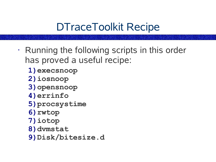# DTraceToolkit Recipe

- Running the following scripts in this order has proved a useful recipe:
	- **1)execsnoop**
	- **2)iosnoop**
	- **3)opensnoop**
	- **4)errinfo**
	- **5)procsystime**
	- **6)rwtop**
	- **7)iotop**
	- **8)dvmstat**
	- **9)Disk/bitesize.d**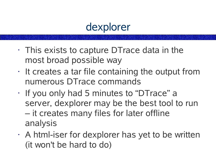## dexplorer

- $\cdot$  This exists to capture DT race data in the most broad possible way
- $\cdot$  It creates a tar file containing the output from numerous DTrace commands
- If you only had 5 minutes to "DTrace" a server, dexplorer may be the best tool to run – it creates many files for later offline analysis
- $\cdot$  A html-iser for dexplorer has yet to be written (it won't be hard to do)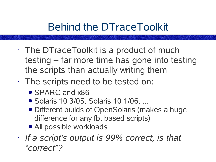# Behind the DTraceToolkit

- The DTraceToolkit is a product of much testing – far more time has gone into testing the scripts than actually writing them
- The scripts need to be tested on:
	- SPARC and x86
	- Solaris 10 3/05, Solaris 10 1/06, ...
	- Different builds of OpenSolaris (makes a huge difference for any fbt based scripts)
	- All possible workloads
- *If a script's output is 99% correct, is that "correct"?*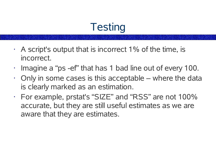# **Testing**

- $\cdot$  A script's output that is incorrect 1% of the time, is incorrect.
- Imagine a "ps -ef" that has 1 bad line out of every 100.
- $\cdot$  Only in some cases is this acceptable where the data is clearly marked as an estimation.
- For example, prstat's "SIZE" and "RSS" are not 100% accurate, but they are still useful estimates as we are aware that they are estimates.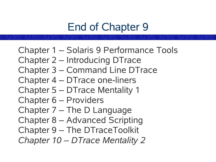# End of Chapter 9

Chapter 1 – Solaris 9 Performance Tools Chapter 2 – Introducing DTrace Chapter 3 – Command Line DTrace Chapter 4 – DTrace one-liners Chapter 5 – DTrace Mentality 1 Chapter 6 – Providers Chapter 7 – The D Language Chapter 8 – Advanced Scripting Chapter 9 – The DTraceToolkit *Chapter 10 – DTrace Mentality 2*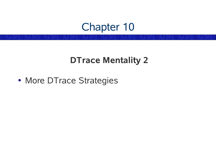## Chapter 10

### **DTrace Mentality 2**

• More DTrace Strategies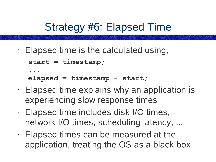Strategy #6: Elapsed Time

• Elapsed time is the calculated using,

```
start = timestamp;
```

```
...
elapsed = timestamp - start;
```
- Elapsed time explains why an application is experiencing slow response times
- Elapsed time includes disk I/O times, network I/O times, scheduling latency, ...
- Elapsed times can be measured at the application, treating the OS as a black box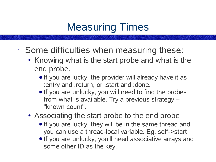# Measuring Times

- Some difficulties when measuring these:
	- Knowing what is the start probe and what is the end probe.
		- If you are lucky, the provider will already have it as :entry and :return, or :start and :done.
		- If you are unlucky, you will need to find the probes from what is available. Try a previous strategy – "known count".
	- Associating the start probe to the end probe
		- If you are lucky, they will be in the same thread and you can use a thread-local variable. Eg, self->start
		- If you are unlucky, you'll need associative arrays and some other ID as the key.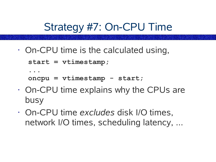Strategy #7: On-CPU Time

• On-CPU time is the calculated using,

```
start = vtimestamp;
```

```
...
```

```
oncpu = vtimestamp - start;
```
- On-CPU time explains why the CPUs are busy
- On-CPU time *excludes* disk I/O times, network I/O times, scheduling latency, ...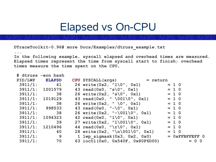## Elapsed vs On-CPU

**DTraceToolkit-0.96# more Docs/Examples/dtruss\_example.txt**

#### **...**

**In the following example, syscall elapsed and overhead times are measured. Elapsed times represent the time from syscall start to finish; overhead times measure the time spent on the CPU,**

|         | # dtruss -eon bash |                                           |         |         |                       |
|---------|--------------------|-------------------------------------------|---------|---------|-----------------------|
|         | PID/LWP ELAPSD     | $CPU$ SYSCALL (args) = return             |         |         |                       |
| 3911/1: | 41                 | 26 write $(0x2, "1\0", 0x1)$              |         | $= 1 0$ |                       |
|         | 3911/1: 1001579    | $43 \text{ read } (0x0, "s\0", 0x1) = 10$ |         |         |                       |
| 3911/1: | 38                 | $26 \text{ write } (0x2, "s\0", 0x1)$     | $= 1 0$ |         |                       |
|         | 3911/1: 1019129    | 43 read $(0x0, " \ 001\0", 0x1)$          |         | $= 1 0$ |                       |
|         | 3911/1: 38         | 26 write $(0x2, " \ 0", 0x1)$             |         | $= 1 0$ |                       |
|         | 3911/1: 998533     | 43 $read(0x0, "-\0", 0x1)$                |         | $= 1 0$ |                       |
|         | $3911/1:$ 38       | 26 write $(0x2, "-\001\0", 0x1)$          |         | $= 1 0$ |                       |
|         | 3911/1: 1094323    | 42 $read(0x0, "1\0", 0x1)$                |         | $= 1 0$ |                       |
| 3911/1: | 39                 | 27 write $(0x2, "1\001\0", 0x1)$          |         | $= 1 0$ |                       |
|         | 3911/1: 1210496    | 44 read $(0x0, "r\0", 0x1)$               |         | $= 1 0$ |                       |
|         | 3911/1: 40         | 28 write $(0x2, "n\001\0", 0x1)$          |         | $= 1 0$ |                       |
|         | $3911/1:$ 9        | $1$ lwp sigmask( $0x3$ , $0x2$ , $0x0$ )  |         |         | $=$ $0x$ FFBFFEFF $0$ |
|         | 3911/1: 70         | 63 ioctl (0x0, 0x540F, 0x80F6D00)         |         |         | $= 0 0$               |
|         |                    |                                           |         |         |                       |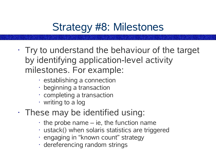# Strategy #8: Milestones

- $\cdot$  Try to understand the behaviour of the target by identifying application-level activity milestones. For example:
	- establishing a connection
	- beginning a transaction
	- completing a transaction
	- writing to a log
- These may be identified using:
	- the probe name ie, the function name
	- ustack() when solaris statistics are triggered
	- engaging in "known count" strategy
	- dereferencing random strings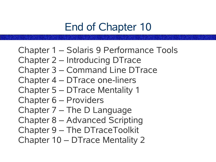# End of Chapter 10

Chapter 1 – Solaris 9 Performance Tools Chapter 2 – Introducing DTrace Chapter 3 – Command Line DTrace Chapter 4 – DTrace one-liners Chapter 5 – DTrace Mentality 1 Chapter 6 – Providers Chapter 7 – The D Language Chapter 8 – Advanced Scripting Chapter 9 – The DTraceToolkit Chapter 10 – DTrace Mentality 2